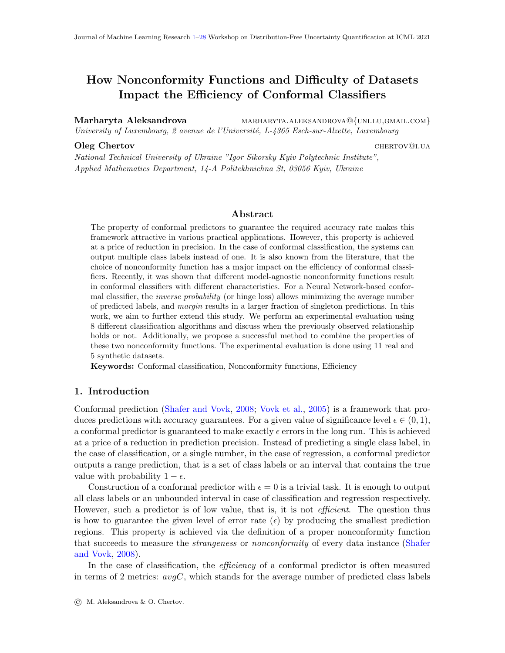# <span id="page-0-0"></span>How Nonconformity Functions and Difficulty of Datasets Impact the Efficiency of Conformal Classifiers

Marharyta Aleksandrova marharyta.aleksandrova@{uni.lu,GMAIL.com} University of Luxembourg, 2 avenue de l'Université, L-4365 Esch-sur-Alzette, Luxembourg

#### **Oleg Chertov** chertov chertov chertov chertov chertov chertov chertov chertov chertov chertov chertov chertov chertov chertov chertov chertov chertov chertov chertov chertov chertov chertov chertov chertov chertov chertov

National Technical University of Ukraine "Igor Sikorsky Kyiv Polytechnic Institute", Applied Mathematics Department, 14-A Politekhnichna St, 03056 Kyiv, Ukraine

# Abstract

The property of conformal predictors to guarantee the required accuracy rate makes this framework attractive in various practical applications. However, this property is achieved at a price of reduction in precision. In the case of conformal classification, the systems can output multiple class labels instead of one. It is also known from the literature, that the choice of nonconformity function has a major impact on the efficiency of conformal classifiers. Recently, it was shown that different model-agnostic nonconformity functions result in conformal classifiers with different characteristics. For a Neural Network-based conformal classifier, the inverse probability (or hinge loss) allows minimizing the average number of predicted labels, and *margin* results in a larger fraction of singleton predictions. In this work, we aim to further extend this study. We perform an experimental evaluation using 8 different classification algorithms and discuss when the previously observed relationship holds or not. Additionally, we propose a successful method to combine the properties of these two nonconformity functions. The experimental evaluation is done using 11 real and 5 synthetic datasets.

Keywords: Conformal classification, Nonconformity functions, Efficiency

# 1. Introduction

Conformal prediction [\(Shafer and Vovk,](#page-26-0) [2008;](#page-26-0) [Vovk et al.,](#page-26-1) [2005\)](#page-26-1) is a framework that produces predictions with accuracy guarantees. For a given value of significance level  $\epsilon \in (0,1)$ , a conformal predictor is guaranteed to make exactly  $\epsilon$  errors in the long run. This is achieved at a price of a reduction in prediction precision. Instead of predicting a single class label, in the case of classification, or a single number, in the case of regression, a conformal predictor outputs a range prediction, that is a set of class labels or an interval that contains the true value with probability  $1 - \epsilon$ .

Construction of a conformal predictor with  $\epsilon = 0$  is a trivial task. It is enough to output all class labels or an unbounded interval in case of classification and regression respectively. However, such a predictor is of low value, that is, it is not *efficient*. The question thus is how to guarantee the given level of error rate  $(\epsilon)$  by producing the smallest prediction regions. This property is achieved via the definition of a proper nonconformity function that succeeds to measure the *strangeness* or *nonconformity* of every data instance [\(Shafer](#page-26-0) [and Vovk,](#page-26-0) [2008\)](#page-26-0).

In the case of classification, the *efficiency* of a conformal predictor is often measured in terms of 2 metrics:  $avgC$ , which stands for the average number of predicted class labels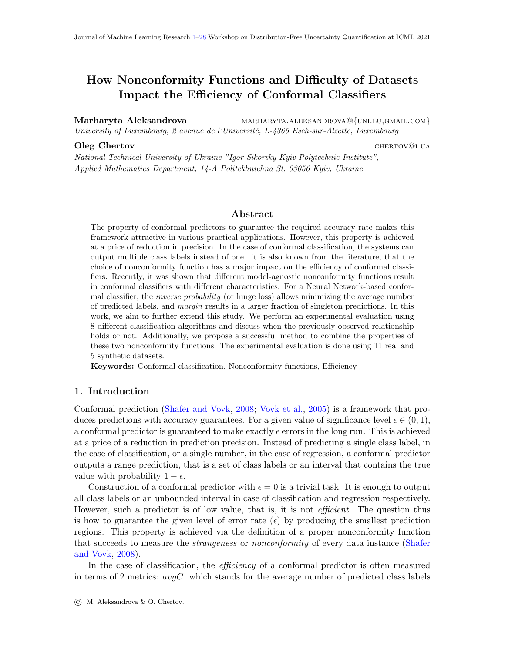per instance, and oneC, which stands for the fraction of produced singleton predictions. Naturally, one would want to minimize  $avgC$  and maximize  $oneC$  at the same time. A recent study by [Johansson et al.](#page-26-2) [\(2017\)](#page-26-2) showed that the usage of the nonconformity function known as margin results in higher one C and the usage of inverse probability (also known as hinge) as a nonconformity function results in lower values of  $avgC$ . In the rest of the text, we will refer to this relationship as a baseline or original pattern (relationship). The authors use 21 datasets to demonstrate the statistical significance of this relationship. However, this was done for the case where the baseline classifiers were either a single neural network (ANN) or an ensemble of bagged ANNs. In this paper, we aim to extend this study with the following contributions.

- 1. We study if the same pattern is present when other classification algorithms are used. Our experimental results with 8 different classifiers, 5 synthetic datasets and 11 publicly available datasets show that although the previously observed pattern does hold in the majority of the cases, the choice of the best nonconformity function can depend on the analyzed dataset and the chosen underlying classification model. For example, k-nearest neighbours classifier performs best with margin. Margin is also the best choice in the case of balance dataset regardless of the chosen classification model.
- 2. We propose a method to combine both nonconformity functions. Our experimental evaluation shows that this combination always results in better or the same performance as *inverse probability*, thus allowing to increase the value of *oneC* and decrease the value of  $avgC$ . In some cases, the proposed combination outperforms both *inverse* probability and *margin* in terms of both efficiency characteristics.
- 3. We discuss several aspects of how the accuracy of the baseline classifier can impact the performance of the resulting conformal predictor. In particular, if the baseline prediction accuracy is very good, then nonconformity functions have no impact on the efficiency. Also, the accuracy of the baseline classifier strongly correlates with the fraction of singleton predictions that contain the true label. In this way, the accuracy can be an indicator of the usefulness of the oneC metric.

The rest of the paper is organized as follows. In Section [2,](#page-1-0) we discuss related works. Section [3](#page-2-0) is dedicated to the description of the proposed strategy to combine advantages of margin and inverse probability nonconformity functions. Section [4](#page-4-0) and Section [5](#page-5-0) present the experimental setup and results. Finally, we summarize our work in Section [6.](#page-24-0)

# <span id="page-1-0"></span>2. Related work

Conformal prediction is a relatively new paradigm developed at the beginning of 2000, see [Linusson](#page-26-3) [\(2021\)](#page-26-3) for an overview. It was originally developed for transductive setting [\(Vovk,](#page-26-4) [2013\)](#page-26-4). The latter is efficient in terms of data usage but is also computationally expensive. Recent studies, including the current one, focus on *Inductive Conformal Pre-*diction (ICP) [\(Papadopoulos,](#page-26-5) [2008\)](#page-26-5). ICP trains the learning model only once, however a part of the training dataset should be put aside for model calibration using a predefined nonconformity function.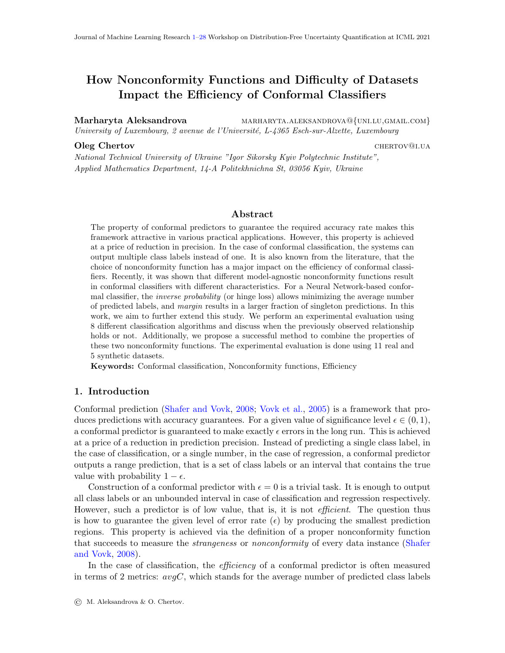There are two groups of nonconformity functions: model-agnostic and model-dependent. Model-dependent nonconformity functions are defined based on the underlying prediction model. Such functions can depend on the distance to the separating hyperplane in SVM [\(Balasubramanian et al.,](#page-26-6) [2009\)](#page-26-6), or the distance between instances in KNN classifier [\(Proedrou et al.,](#page-26-7) [2002\)](#page-26-7). These nonconformity functions are model-specific, thereby, one can not draw generalized conclusions about their behaviour. In a recent study by [Jo](#page-26-2)[hansson et al.](#page-26-2) [\(2017\)](#page-26-2), it was shown that model-agnostic nonconformity functions do have some general characteristics. *Inverse probability* nonconformity function, also knows as hinge, is defined by the equation  $\Delta[h(x_i), y_i] = 1 - \hat{P}_h(y_i|x_i)$ , where  $x_i$  is the analyzed data instance,  $y_i$  is a tentative class label, and  $\hat{P}_h(y_i|\mathbf{x_i})$  is the probability assigned to this label given the instance  $x_i$  by the underlying classifier h. It was shown that conformal classifiers based on this metric tend to generate prediction regions of lower average length  $(avgC)$ . At the same time, the *margin* nonconformity function results in a larger fraction of singleton predictions  $(oneC)$ . The latter is defined by the following formula  $\Delta[h(\boldsymbol{x_i}), y_i] = \max_{y \in y_i} \hat{P}_h(y|\boldsymbol{x_i}) - \hat{P}_h(y_i|\boldsymbol{x_i})$ , and it measures how different is the probability of the label  $y_i$  from another most probable class label. The experimental evaluations in [\(Johansson et al.,](#page-26-2) [2017\)](#page-26-2), however, were performed for a limited number of underlying classification models: ANN and ensemble of bagged ANNs. To the best of our knowledge, there are no research works dedicated to the validity analysis of the discovered pattern in the case of other classification algorithms. To our opinion, this piece of research is missing to draw global conclusions about the characteristics of these nonconformity functions.

Combining characteristics of both margin and inverse probability nonconformity functions is a tempting idea. In recent years many authors dedicated their efforts to understand how one can generate more efficient conformal predictions through a combination of several conformal predictors. [Yang and Kuchibhotla](#page-27-1) [\(2021\)](#page-27-1) and [Toccaceli and Gammerman](#page-26-8) [\(2019\)](#page-26-8) studied how to aggregate conformal predictions based on different training algorithms. Various strategies were proposed for such combination: via p-values [\(Toccaceli and](#page-26-9) [Gammerman,](#page-26-9) [2017\)](#page-26-9), a combination of monotonic conformity scores [\(Gauraha and Spjuth,](#page-26-10) [2018\)](#page-26-10), majority voting [\(Cherubin,](#page-26-11) [2019\)](#page-26-11), out-of-bag calibration [\(Linusson et al.,](#page-26-12) [2020\)](#page-26-12), or via established result in Classical Statistical Hypothesis Testing [\(Toccaceli,](#page-26-13) [2019\)](#page-26-13). The challenge of every combination of conformal predictors is to retain *validity*, that is to achieve the empirical error rate not exceeding the predefined value  $\epsilon$ . This property is usually demonstrated experimentally and some authors provide guidelines on which values of significance levels should be used for individual conformal algorithms to achieve the desired validity of the resulting combination. As opposed to these general approaches, in Section [3](#page-2-0) we propose a procedure that is based on the properties of margin and inverse probability. We show that this approach allows combining their characteristics, higher oneC and lower  $avgC$ , and retains the validity at the same time.

# <span id="page-2-0"></span>3. Combination of inverse probability and margin nonconformity functions

As was shown by [Johansson et al.](#page-26-2) [\(2017\)](#page-26-2), the usage of *inverse probability* nonconformity function results in less number of predicted class labels on average (lower  $avgC$ ), and margin results in a larger fraction of singleton predictions (higher  $oneC$ ). In this section, we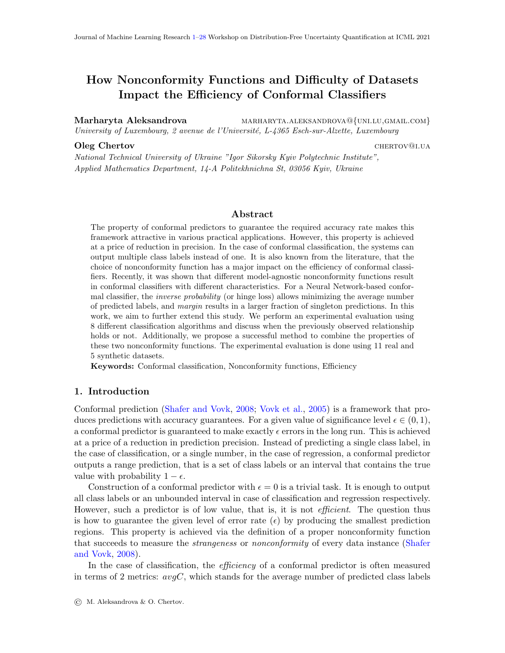propose an approach to combine these properties of the two nonconformity functions. The validity of this method is studied empirically in Sections  $5.1.2$  and  $5.2.2$  and its efficiency is demonstrated in Sections [5.1.4](#page-8-0) and [5.2.4.](#page-21-1)

It is desirable to have more singleton predictions. However, if a singleton prediction does not contain the true label, then the metric *oneC* not only loses its value but also becomes misleading. In Section [5.2.3,](#page-21-2) we demonstrate that for some datasets only a half of singleton predictions contain the true label. Hence, in our proposed method we decide to take the results produced by inverse probability nonconformity function as a baseline, and then extend them with some singleton predictions resulting from the usage of *margin*.

The proposed procedure is presented in Fig. [1.](#page-3-0) First, we construct conformal predictors using both nonconformity functions separately<sup>[1](#page-3-1)</sup>. For the conformal predictor based on inverse probability, we use the value of  $\epsilon$  specified by the user as the significance level. For the conformal predictor based on *margin*, we set the significance level equal to  $\epsilon/2$ . This is done to compensate for possible erroneous singleton predictions produced by *margin* nonconformity function and to achieve the required level or empirical error rate. **Second**, for every instance in the testing or production dataset, we analyze the predictions generated by both conformal classifiers. If the conformal classifier based on margin outputs a singleton and the other conformal classifier not, then the prediction is taken from the first model. Otherwise, the output of the conformal classifier based on inverse probability is used. Such a combination will perform in the worst case the same as the conformal predictor based on *inverse probability.* Otherwise, the values of one C and/or  $avgC$  will be improved, as some non-singleton predictions will be replaced with singletons. Thereby, in case the validity is preserved, this combination can be considered as an improved version of the inverse probability nonconformity function.



<span id="page-3-0"></span>Figure 1: Algorithm for combining margin  $(M)$  and inverse probability  $(IP)$ : IP\_M.

In the rest of the paper, we use  $M$  and  $IP$  to refer to the conformal classifiers based on margin and inverse probability respectively.  $IP_{\mathcal{M}}$  will be used to refer to the combination explained above. For simplicity, sometimes  $IP_{\mathcal{M}}$  is referred to as a nonconformity function, although technically it is not.

<span id="page-3-1"></span><sup>1.</sup> See [Vovk et al.](#page-26-1) [\(2005\)](#page-26-1); [Shafer and Vovk](#page-26-0) [\(2008\)](#page-26-0); [Johansson et al.](#page-26-2) [\(2017\)](#page-26-2) for an explanation of how conformal predictors are constructed.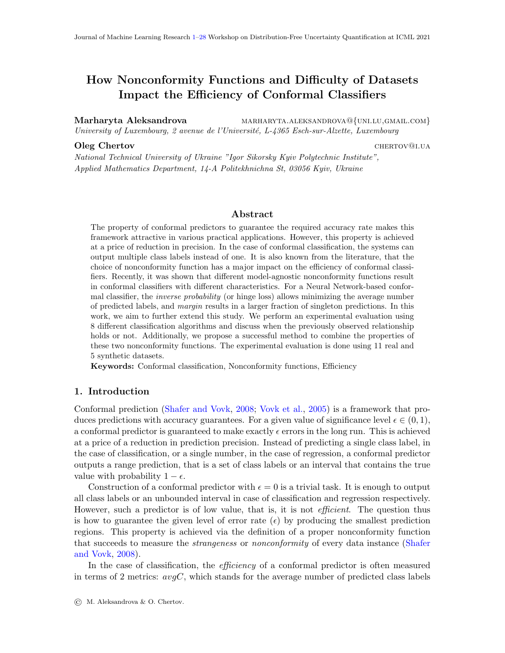# <span id="page-4-0"></span>4. Experimental setup

To perform experimental analysis, we used the implementation of conformal predictors available from *nonconformist*<sup>[2](#page-4-1)</sup> Python library. We followed the general experimental setup from the original paper by [Johansson et al.](#page-26-2) [\(2017\)](#page-26-2). That is we used 10x10-fold crossvalidation with 90% of the data used for training and validation of the model, and 10% used for testing. The training dataset was further split into a proper training set and a calibration set in proportion 4:1, i.e., 80% of the training set was used for actual training of the classification model, and the rest 20% were used for calibration. All the results reported below are averaged over the 10x10 folds.

In the original study, the authors used 21 publicly available multi-class datasets from the UCI repository [Dua and Graff](#page-26-14) [\(2017\)](#page-26-14). In this paper, we present not aggregated, but detailed results for every analyzed dataset. That is why we chose 11 representative datasets with different characteristics from the original list of 21 ones. The general information about these datasets, such as the number of instances, attributes, and defined classes is given in the first section of Table [9.](#page-22-0) Additionally, we aim to analyze the impact of the 'easiness' of a dataset on the performance of conformal predictors. For this, we generate synthetic datasets of different difficulties. The characteristics of these datasets are presented in the first section of Table [2](#page-6-0) and are discussed in Section [5.1.](#page-5-2) We start with the analysis of the results for synthetic datasets in Section [5.1.](#page-5-2) After that, we proceed to the analysis of results obtained for real-world datasets in Section [5.2.](#page-14-0)

The original study by [Johansson et al.](#page-26-2) [\(2017\)](#page-26-2) analyzed the performance of conformal classifiers based on the ANN classification model. In this paper, we aim to further extend this analysis and use 8 different classification algorithms as baseline models: Support Vector Machine (SVM), Decision Tree (DT), k-Nearest Neighbours (KNN), AdaBoost (Ada), Gaussian Naive Bayes (GNB), Multilayer Perceptron (MPR), Random Forest (RF) and Quadratic Discriminant Analysis (QDA). We used implementations of these algorithms available from the scikit-learn Python library. In Table [1,](#page-4-2) we summarize the input parameters of these algorithms unless the default values are used.

| Algorithm  | Input parameters                                                       |
|------------|------------------------------------------------------------------------|
| <b>SVM</b> | probability=True                                                       |
| DT         | $\min$ _samples_split= $\max(5, 5\%$ of proper training dataset)       |
| <b>KNN</b> | $n\_{neighbour} = 5$                                                   |
| MPR.       | alpha= $1$ , max_iter= $1000$                                          |
| <b>RF</b>  | $n_{\text{estimators}} = 10$ , $min_{\text{samples}} \text{split} = 0$ |

<span id="page-4-2"></span>Table 1: Input parameters of classification algorithms

Different classifiers perform differently on different datasets. We demonstrate this with the error in the baseline mode<sup>[3](#page-4-3)</sup> *b\_err* in the first section of Tables [2](#page-6-0) and [9.](#page-22-0) As will be discussed later, 8 classifiers perform similarly in terms of baseline error on synthetic datasets and produce different results on real-world datasets. That is why in Table [9](#page-22-0) we report both

<span id="page-4-1"></span><sup>2.</sup> <https://github.com/donlnz/nonconformist>

<span id="page-4-3"></span><sup>3.</sup> In this text, we use the baseline mode to refer to the standard (non-conformal) prediction.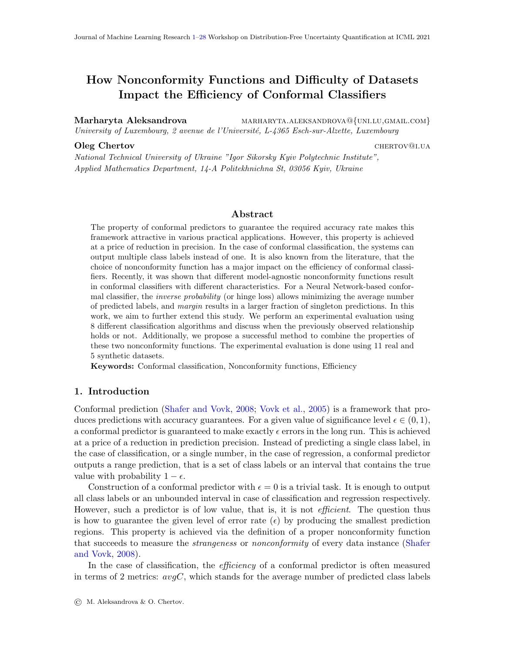the range of  $b_error$  and the median values for real datasets. However, for the generated datasets, we report only the median of  $b\text{-}err$  in Table [2.](#page-6-0) To calculate the corresponding values, we used the same 10x10-fold cross-validation but without splitting the training set into a proper training set and a validation set.

All experimental evaluations were performed for 5 different values of significance level  $\epsilon \in \{0.01, 0.05, 0.1, 0.15, 0.20\}$ . For every combination of a dataset, baseline classification algorithm and  $\epsilon$ , we calculated the values of *oneC* and  $avgC$  with 2 different nonconformity functions  $(IP \text{ and } M)$  and their combination  $IP_M$ . After that, the results were compared to see if any of the nonconformity functions or their combination results in a more efficient conformal predictor.

# <span id="page-5-0"></span>5. Experimental results

In this section, we present experimental results for synthetic (see Section [5.1\)](#page-5-2) and real-world (see Section [5.2\)](#page-14-0) datasets. The demonstrated results can be reproduced using Python code from the relevant repository<sup>[4](#page-5-3)</sup>.

## <span id="page-5-2"></span>5.1. Synthetic datasets

#### 5.1.1. DESCRIPTION

To study the impact of the 'easiness' of the dataset on the performance of conformal classifiers with different nonconformity functions, we generated 5 artificial datasets. All 5 datasets have 2 attributes and 4 classes with 2000 instances per class, see section 1 of Table [2.](#page-6-0) The 4 classes of every dataset are defined as a set of normally distributed points around 4 centers on a 2D plane:  $(1,0)$ ,  $(0,1)$ ,  $(-1,0)$  and  $(0,-1)$ . The difference between the 5 datasets is in the value of standard deviation  $\sigma$  used to generated the normally distributed points. The latter has 5 possible values:  $\sigma \in \{0.2, 0.4, 0.6, 0.8, 1.0\}$ . The impact of the value of  $\sigma$  on the distribution of points is visually demonstrated in Figs.  $2(a)$ ,  $3(a)$ ,  $4(a)$ ,  $5(a)$  and  $6(a)$ . As expected, the datasets with a larger value of  $\sigma$  are also more difficult to classify, see median value b err in section 1 of Table [2](#page-6-0) and the values of b err per classifier in Figs. [2\(b\),](#page-10-1) [3\(b\),](#page-12-1)  $4(b)$ , [5\(b\)](#page-17-1) and [6\(b\).](#page-19-1) In the rest of the text, we use the corresponding value of  $\sigma$  to refer to different synthetic datasets.

## <span id="page-5-1"></span>5.1.2. Validity

We start with the analysis of *validity*, that is first we check if the produced conformal predictors indeed achieve the required error rate. This property was demonstrated in previous works both for inverse probability and margin. It is also theoretically guaranteed for any nonconformity function, but not for a combination of those, like IP\_M. In Table [3](#page-7-0) we demonstrate the empirical error rates for every synthetic dataset and an average over them. As we can see, all conformal predictors are well-calibrated. The only exception is the  $\sigma = 0.2$  dataset for which the empirical error rates are usually lower than the value of  $\epsilon$ . This difference is the most prominent in the case of large values of significance (for  $\epsilon = 0.15$ ) and  $\epsilon = 0.2$ ). This can be explained by the fact that the 4 classes of the synthetic dataset

<span id="page-5-3"></span><sup>4.</sup> <https://github.com/marharyta-aleksandrova/copa-2021-conformal-learning>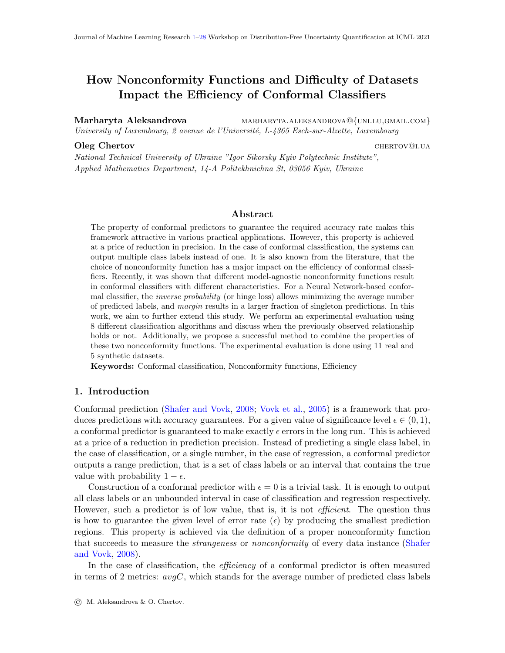| $\sigma=1.0$                   |                |                                                                                               | 0.429                                  |                  | $\frac{0.775}{0.025}$ | 0.734       |                     | $\frac{92.5}{97.5}$ | $rac{6.26}{10}$ | 97.5       |                 |                                              | $\frac{\text{SVM [0.01]} }{\text{KNN} \text{ (0.04)}}$                                                                                                                             |                                   |  |                | $\overline{\mathbf{y}}$             |
|--------------------------------|----------------|-----------------------------------------------------------------------------------------------|----------------------------------------|------------------|-----------------------|-------------|---------------------|---------------------|-----------------|------------|-----------------|----------------------------------------------|------------------------------------------------------------------------------------------------------------------------------------------------------------------------------------|-----------------------------------|--|----------------|-------------------------------------|
| $\sigma=0.8$                   |                |                                                                                               | 0.338                                  | $0.828$<br>0.018 |                       | 0.532       | $\frac{92.5}{77.5}$ |                     | 15              | 95         |                 |                                              | $\frac{\text{SVM [0.01]} }{\text{Ada [0.05, 0.1]}}, \ \text{KNN [0.04, 0.1]}$                                                                                                      |                                   |  |                | ≻                                   |
| $\sigma=0.6$                   | 8000           | $\frac{1}{2}$                                                                                 | 0.227                                  |                  | $\frac{0.862}{0.018}$ |             | $rac{60}{18}$       |                     | $\infty$        | 82.5       |                 |                                              | $\begin{array}{l l} \hbox{\bf KNN} & [0.05, \, 0.15], \ \hbox{Ada, GNB} & [0.2], \ \hbox{MPR} & [0.2] & \ \hbox{QDA} & [0.2] & \ \hline \hbox{KNN} & [0.1] & \ \hline \end{array}$ |                                   |  |                |                                     |
| $\sigma = 0.4$                 |                |                                                                                               | 0.081                                  | 0.949            | $0.002$<br>$0.974$    |             |                     | $\frac{37.5}{27.5}$ | $rac{6}{37.5}$  | 35         |                 |                                              | $\overline{\textbf{KNN}}$ [0.05],                                                                                                                                                  | $\mbox{Ada}, \\ \mbox{RF}\ [0.1]$ |  |                | ≻                                   |
| $= 0.2$<br>$\overline{\sigma}$ |                |                                                                                               | 0.001                                  | $\frac{1}{0}$    |                       | 0.936       |                     |                     | Σ.,             | ζ.7        |                 | GNB $[0.2]$ ,<br>RF $[0.2]$ ,<br>QDA $[0.2]$ |                                                                                                                                                                                    |                                   |  |                | ≻                                   |
| Datasets                       | $\#$ instances | $\begin{array}{l} \# \mbox{ attributes} \\ \# \mbox{ classes} \\ \mbox{balanced} \end{array}$ | $n, \overline{\%}$<br>$b_error$ media: | mean             | mean-std              | corr. b_acc | one $C,\%$          | $avgC, \%$          | $oneC, \%$      | $avgC, \%$ | inverse pattern |                                              |                                                                                                                                                                                    | M is the best                     |  | IP is the best | $IP\overline{M} \geq \overline{IP}$ |
|                                |                | ojui                                                                                          |                                        |                  |                       | $\bar{H}$   |                     | .<br>Berth          |                 | .<br>Jata. |                 |                                              |                                                                                                                                                                                    | pattern                           |  |                |                                     |
| Section                        |                |                                                                                               |                                        |                  | $\mathbf{\Omega}$     |             |                     | S                   |                 |            |                 |                                              |                                                                                                                                                                                    | 4                                 |  |                |                                     |

<span id="page-6-0"></span>Table 2: Synthetic datasets: Characteristics of the datasets and summarization of results. Strikethrough text indicates those Table 2: Synthetic datasets: Characteristics of the datasets and summarization of results. Strikethrough text indicates those values of  $\epsilon$ , for which we do not observe a particular pattern. values of  $\epsilon$ , for which we do not observe a particular pattern.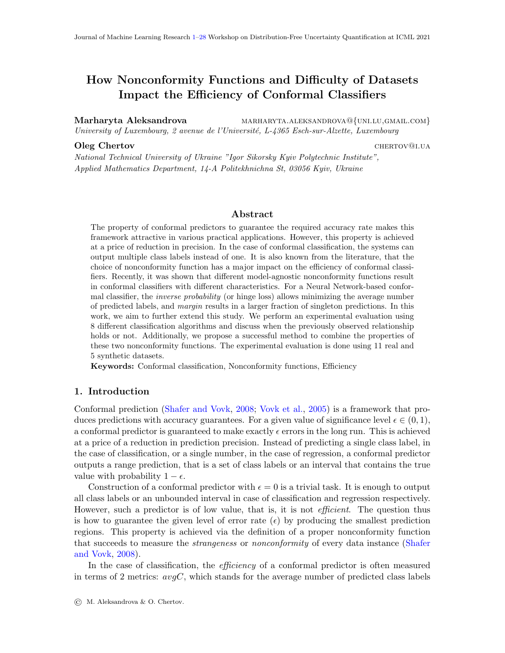with  $\sigma = 0.2$  are well-separated, see Fig. [2\(a\),](#page-10-0) and allow almost perfect classification, see the values of  $b\_err$  in Table [2](#page-6-0) and in Fig.  $2(b)$ . This also affects the average values presented in the section MEAN of Table [3.](#page-7-0)

The validity of conformal predictor based on  $IP_{\mathcal{M}}$  can be explained by the fact, that we add *margin*-based predictions to the IP-based model only in case when we are very confident about them. Recall that the significance level is set to  $\epsilon/2$  for this case, see Section [3.](#page-2-0) Thereby, the probability to generate enough invalid predictions to surpass the allowed error rate  $\epsilon$  is very low.

|              | $\epsilon$ | IΡ   | IP_M    | М                |               | $\epsilon$ | IР   | $IP\_M$ | $\,M_{\rm}$      |
|--------------|------------|------|---------|------------------|---------------|------------|------|---------|------------------|
|              | 0.01       | 0.01 | 0.01    | 0.01             |               | 0.01       | 0.01 | 0.01    | 0.01             |
| 0.2          | 0.05       | 0.04 | 0.04    | 0.04             | $\frac{8}{2}$ | 0.05       | 0.04 | 0.05    | 0.05             |
| $\vert\vert$ | 0.10       | 0.08 | 0.08    | 0.08             | $\mathbb{I}$  | 0.10       | 0.09 | 0.10    | 0.10             |
| р            | 0.15       | 0.11 | 0.11    | 0.11             | ь             | 0.15       | 0.15 | 0.15    | 0.14             |
|              | 0.20       | 0.13 | 0.13    | 0.14             |               | 0.20       | 0.19 | 0.20    | 0.20             |
|              | $\epsilon$ | ΙP   | $IP\_M$ | $\boldsymbol{M}$ |               | $\epsilon$ | IP   | $IP\_M$ | $\boldsymbol{M}$ |
|              | 0.01       | 0.01 | 0.01    | 0.01             |               | 0.01       | 0.01 | 0.01    | 0.01             |
| 0.4          | 0.05       | 0.05 | 0.05    | 0.05             |               | 0.05       | 0.04 | 0.05    | 0.05             |
| $\mathbb{I}$ | 0.10       | 0.10 | 0.10    | 0.10             | Ш             | 0.10       | 0.09 | 0.10    | 0.10             |
| P            | 0.15       | 0.14 | 0.15    | 0.15             | р             | 0.15       | 0.14 | 0.16    | 0.15             |
|              | 0.20       | 0.19 | 0.20    | 0.19             |               | 0.20       | 0.19 | 0.20    | 0.20             |
|              | $\epsilon$ | IΡ   | $IP\_M$ | $\boldsymbol{M}$ |               | $\epsilon$ | IP   | $IP\_M$ | $\boldsymbol{M}$ |
|              | 0.01       | 0.01 | 0.01    | 0.01             |               | 0.01       | 0.01 | 0.01    | 0.01             |
| 0.6          | 0.05       | 0.04 | 0.05    | 0.05             |               | 0.05       | 0.04 | 0.05    | 0.05             |
| $\mid \mid$  | 0.10       | 0.10 | 0.10    | 0.09             | MEAN          | 0.10       | 0.09 | 0.10    | 0.09             |
| р            | 0.15       | 0.14 | 0.15    | 0.14             |               | 0.15       | 0.14 | 0.14    | 0.14             |
|              | 0.20       | 0.19 | 0.20    | 0.19             |               | 0.20       | 0.18 | 0.19    | 0.18             |

<span id="page-7-0"></span>Table 3: Synthetic datasets: Empirical error rates

#### <span id="page-7-1"></span>5.1.3. INFORMATIVENESS OF  $oneC$

In Section [3,](#page-2-0) we discussed the issue that can happen with *oneC* metric. Indeed, if a large portion of predicted singletons does not contain the true label, then this metric can be misleading. We calculated the ratio of the number of singleton predictions that contain the true label to the overall number of singleton predictors for different setups and algorithms. We denote this value as  $E\text{-}oneC$  from *effective oneC*. The corresponding results are presented in section 2 of Table [2.](#page-6-0)

The first row of this section shows the averaged value of E one C overall 5 values of  $\epsilon$ and 3 nonconformity functions. We can notice that this value decreases when the difficulty of a dataset increases. It drops from 1.0 for  $\sigma = 0.2$  to 0.775 for  $\sigma = 1.0$ . This means that on average more than 20% of the produced singleton predictions for the latter dataset do not contain the true label.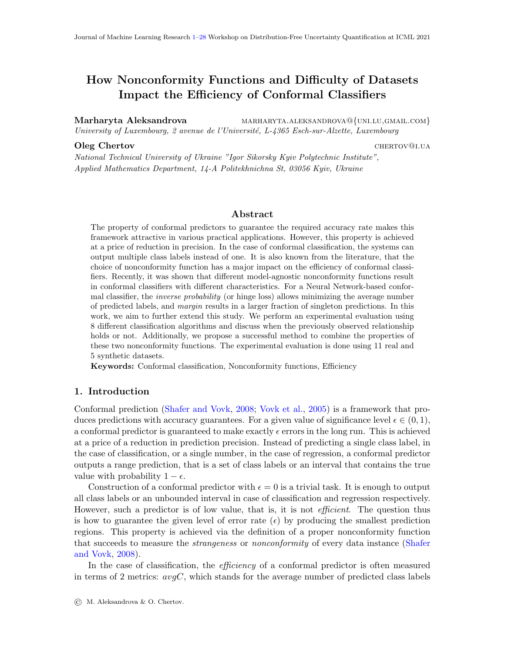To further analyze the relationship between  $E\text{-}oneC$  and  $b\text{-}err$ , we calculated the value of correlation between the corresponding characteristics through 8 baseline classifiers within the results for a particular dataset. The results are presented in the third row *corr.* b acc. We can see that the correlation is always high and exceeds 0.9 for 3 of 5 datasets. The lowest value of 0.532 is observed for  $\sigma = 0.8$ . These results show a strong relationship between the baseline error of the underlying classification model and the correctness of singleton predictions.

Finally, to check if  $E\_{one}C$  depends on the chosen nonconformity function, we averaged the results separately for different non-conformity functions and then calculated the standard deviation of the resulting three values. The corresponding results are presented in the second row *mean-std*. We notice that *mean-std* is very low for all datasets. This indicates that  $E\textsubscript{one}C$  does not depend on the choice of nonconformity function.

#### <span id="page-8-0"></span>5.1.4. Efficiency of different nonconformity functions

In this section, we study the relationship between different nonconformity functions and the effectiveness of the resulting conformal predictors. For every combination of a dataset, a baseline classifier, and a value of  $\epsilon$ , we calculate the values of oneC and  $avgC$ . For visual analysis, the corresponding results are plotted in figures like Figs. [2](#page-10-2) and [3.](#page-12-2) Such figures contain visualization of 4 defined classes (plots  $a$ ), the baseline error rate of all classification algorithms  $b_error$  (plots b), and the corresponding values of the efficiency metrics (plots from c to j). The latter group of plots contains three lines corresponding to *margin* (dashed line), *inverse probability* (dash and dot line) and their combination  $IP_M$  (thin solid line).

Further, we evaluate how significant are the differences between different nonconformity functions. The corresponding results are presented in tables like Tables [4](#page-11-0) and [5.](#page-13-0) Here, for every baseline classifier and value of  $\epsilon$ , we present a comparison matrix. A value in the matrix shows if the row setup is better (indicated with  $+)$  or worse (indicated with  $-)$ ) than the column setup. The star indicates if the detected difference is statistically significant<sup>[5](#page-8-1)</sup>. To avoid too small differences, we put a sign into the matrix only if the corresponding difference is above the threshold of  $2\%$ <sup>[6](#page-8-2)</sup> or it is statistically significant. Therefore, an empty cell indicates that neither threshold differences of at least 2%, nor statistically significant differences were observed for the relative pair of nonconformity functions. For example, from Table [5](#page-13-0) we can see that *margin* results in better values of *oneC* than IP and IP\_M for SVM with  $\epsilon = 0.01$ . These results are also statistically significant, as indicated by a \*. Section 3 of Table [2](#page-6-0) shows the fraction of setups, for which we can observe a difference between the performance of conformal classifiers with different nonconformity functions either by exceeding the threshold of  $2\%$  (*thres.*) or observing statistical significance (*stat.*). These values are calculated as follows. For every dataset, we have 40 setups (5 values of  $\epsilon \times 8$  baseline classifiers). Each such setup corresponds to one matrix for *oneC* and one matrix for  $\alpha \nu gC$  in tables like Table [5.](#page-13-0) We calculate how many of these matrices either have at least one + or  $-$ , or have at least one statistically significant result. After that, the calculated number is divided over 40. By analyzing the corresponding values from section

<span id="page-8-1"></span><sup>5.</sup> Statistical significance was estimated using Student's t-test with  $\alpha = 0.05$ .

<span id="page-8-2"></span><sup>6.</sup> For 100% we take the value of 1 for one C and the total number of classes for  $avgC$ . These are the maximum values of these two metrics.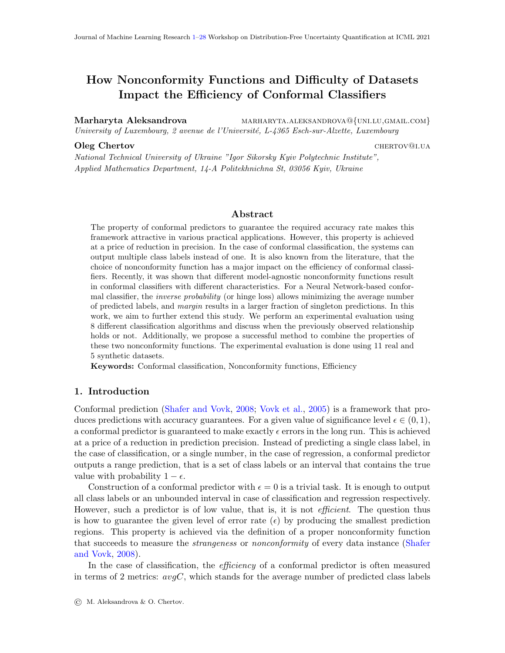3 of Table [2,](#page-6-0) we can notice that for all synthetic datasets we observe more statistically significant differences than differences exceeding the threshold of 2%. Further analysis of Tables [4](#page-11-0) to [8](#page-20-0) shows that all observed differences for synthetic datasets are statistically significant.

Using the information provided in figures like Figs. [2](#page-10-2) and [3](#page-12-2) and tables like Tables [4](#page-11-0) and [5,](#page-13-0) we can analyze the efficiency of conformal classifiers for different nonconformity functions and identify which nonconformity functions perform better. The corresponding findings are summarized in section 4 of Table [2.](#page-6-0) This section shows the deviations from the pattern originally observed by [Johansson et al.](#page-26-2) [\(2017\)](#page-26-2). In our experiments with synthetic datasets, we observed the following 3 deviations: 1) inverse pattern: opposite to the pattern observed in the original study, *inverse probability* results in higher values of *oneC* and margin results in lower values of  $avgC$ ; 2) M is the best: margin can produce both higher values of oneC and lower values of  $avgC$ , that is margin is the best choice of nonconformity function; 3)  $IP$  is the best: *inverse probability* is the best choice of nonconformity function. Additionally, our experiments show that  $IP_{\mathcal{M}}$  never performs worse than IP (IP\_M  $\geq$  IP). In the rest of this section, we analyze in detail the results for 5 synthetic datasets. The general conclusions are discussed in Section [5.3.](#page-23-0)

The detailed results for the synthetic dataset with  $\sigma = 0.2$  $\sigma = 0.2$  are presented in Fig. 2 and Table [4.](#page-11-0) As shown in section 3 of Table [2,](#page-6-0) we observe no threshold differences between nonconformity functions, and the statistically significant difference is observed only in 7.5% of setups. This is also reflected in the corresponding plots for *oneC* and  $\alpha \nu qC$  in Fig. [2.](#page-10-2) That is why we demonstrate only a part of Table [4](#page-11-0) that corresponds to those baseline classifiers, for which statistically significant differences were observed. As it was mentioned above, this dataset is very easy to classify, all baseline classifiers result in  $b\_err$  less than 1%, see Fig. [2\(b\).](#page-10-1) Analyzing the results for the effectiveness metrics, we can see that the plots for  $oneC$  and  $avgC$  look identical. This can be explained by the fact that the very low values of b err allow achieving perfect values of oneC and  $avgC$  being equal to 1 for  $\epsilon = 0.01$ . Increasing the significance level further only results in decreasing of one C and  $avgC$  below 1. This dataset is also the only one for which we observe the inverse pattern. This is the case for GNB, RF, and QDA with  $\epsilon = 0.2$ . As indicated in Table [4,](#page-11-0) these differences are also statistically significant. Given that this dataset is unrealistically easy and the relative conformal predictors are also not well-calibrated, see Table [3,](#page-7-0) this observation can be considered as an exception rather than a rule.

Fig. [3](#page-12-2) and Table [5](#page-13-0) demonstrate the results obtained for the next synthetic dataset with  $\sigma = 0.4$ . As we can see from Fig. [3\(a\),](#page-12-0) the instances of different classes now overlap. This also results in higher values of  $b\_err$ , see Fig. [3\(b\).](#page-12-1) Most classifiers result in  $b\_err$  below 10% with the only exception being Ada classifier with  $b\_err = 0.2$ . Analyzing corresponding plots for oneC and  $avgC$ , we can also notice that the baseline performance correlates with the effectiveness of conformal predictors. For example, the conformal predictor based on Ada classifier results in the lowest values of oneC and also tends to produce higher values of avgC than others. For this dataset, we can observe M is the best pattern. Margin nonconformity function results in the best performance for KNN with  $\epsilon = 0.05$ , RF with  $\epsilon = 0.1$  and Ada with all values of epsilon, see section 4 of Table [2.](#page-6-0) As indicated in the corresponding matrices of Table [5,](#page-13-0) the gain in performance provided by margin is also statistically significant. Finally,  $IP_{\mathcal{M}}$  either improves the effectiveness as compared with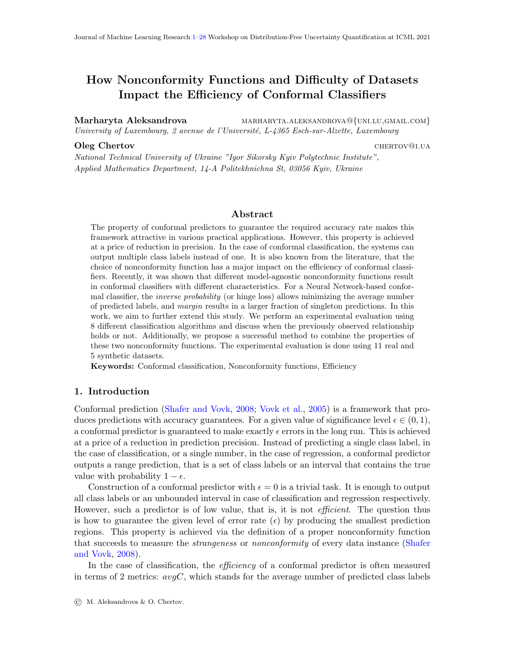<span id="page-10-1"></span><span id="page-10-0"></span>

<span id="page-10-2"></span>Figure 2:  $\sigma = 0.2$ : M - dashed line, IP - dash and dot line, IP\_M - thin solid line.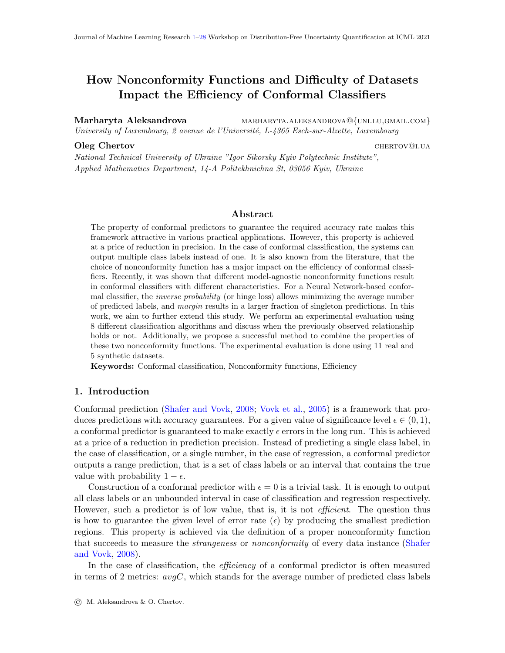|                         |                         |    | $\epsilon=0.01$ |           |    | $\epsilon=0.05$ |           |    | $\epsilon = 0.1$ |           |    | $\epsilon=0.15$ |   |        | $\epsilon = 0.2$ |                             |
|-------------------------|-------------------------|----|-----------------|-----------|----|-----------------|-----------|----|------------------|-----------|----|-----------------|---|--------|------------------|-----------------------------|
| $oneC$                  | ip<br>ip_m<br>${\bf m}$ |    |                 |           |    |                 |           |    |                  |           |    |                 |   | $\ast$ | $\ast$           | $+\ast$<br>$+^*$            |
| GNB                     |                         | ip | ip_m            | m         | ip | ip_m            | m         | ip | ip_m             | ${\bf m}$ | ip | $ip_m$          | m | ip     | ip_m             | ${\rm m}$                   |
| $avgC$                  | ip<br>ip_m<br>${\bf m}$ |    |                 |           |    |                 |           |    |                  |           |    |                 |   | $+^*$  | $+^{\ast}$       | $\overline{\ast}$<br>$\ast$ |
| Ξ<br>$oneC$             | ip<br>ip_m<br>${\bf m}$ |    |                 |           |    |                 |           |    |                  |           |    |                 |   | $\ast$ | $\ast$           | $+^*$<br>$+^*$              |
| $\overline{\text{RF}}$  |                         | ip | ip_m            | ${\bf m}$ | ip | ip_m            | ${\bf m}$ | ip | ip_m             | ${\bf m}$ | ip | ip_m            | m | ip     | ip_m             | ${\bf m}$                   |
| $avgC$                  | ip<br>ip_m<br>m         |    |                 |           |    |                 |           |    |                  |           |    |                 |   | $+^*$  | $+^*$            | $\overline{\ast}$<br>$\ast$ |
| $oneC$                  | ip<br>ip_m<br>${\bf m}$ |    |                 |           |    |                 |           |    |                  |           |    |                 |   | $\ast$ | $\ast$           | $+^*$<br>$+^*$              |
| $\overline{\text{QDA}}$ |                         | ip | ip_m            | ${\bf m}$ | ip | ip_m            | m         | ip | ip_m             | m         | ip | ip_m            | m | ip     | ip_m             | ${\bf m}$                   |
| $avgC$                  | ip<br>ip_m<br>${\rm m}$ |    |                 |           |    |                 |           |    |                  |           |    |                 |   | $+^*$  | $+^*$            | $\overline{\ast}$<br>$\ast$ |

<span id="page-11-0"></span>Table 4: Significance of results for  $\sigma = 0.2$ . An empty cell indicates similar performance, see Section [5.1.4.](#page-8-0)

*inverse probability* nonconformity function or does not change it  $(IP \t M \ge IP)$  pattern). In none of the cells of Table  $5$  IP\_M is dominated by IP. This is also visually visible for the Ada classifier. As shown in Figs.  $3(e)$  and  $3(f)$ , IP M substantially increases oneC and decreases avgC. Additionally, for all values of  $\epsilon$  except 0.01, IP M results in the lowest avgC as compared to both inverse probability and margin. Finally, we can observe a decrease in the values of oneC after  $\epsilon$  reaches the value close to the baseline error of the underlying classifier. The values of  $avgC$  approach 1 and then further decreases at the same time. This is observed for all classifiers except Ada in the corresponding plots of Fig. [3.](#page-12-2) It happens because we do not perform experiments for  $\epsilon > 0.2$ , which corresponds to *b\_err* of this classifier. This observation can be explained by the fact that when  $\epsilon \approx b\_err$ , the conformal classifier is allowed to make as many errors as the baseline model would, thus resulting in the maximum number of singleton predictors. Further increase of the value of error rate can be achieved only at the increase of empty predictors. This results in the decrease of oneC and the further decrease of  $avgC$  below 1.

The results for the synthetic dataset with  $\sigma = 0.6$  are presented in Fig. [4](#page-15-2) and Table [6.](#page-16-0) The difficulty of the dataset increases as indicated by the visualization in Fig. [4\(a\)](#page-15-0) and the values of  $b_error$  in Fig. [4\(b\).](#page-15-1) Now for all conformal classifiers, we can observe a clear visual difference between nonconformity functions. As indicated in section 3 of Table [2,](#page-6-0) for more than 60% of setups the deviation is above the 2% threshold and in more than 80% the difference is statistically significant. As in the previous case, the performance in the baseline mode tends to correlate with the efficiency of the resulting conformal classifiers. This is illustrated for the 2 least accurate classifiers KNN and Ada in Figs.  $4(e)$  and  $4(f)$ . For this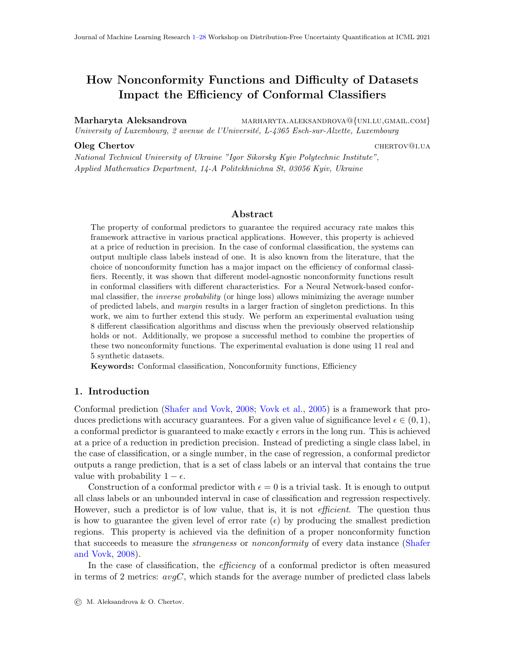<span id="page-12-1"></span><span id="page-12-0"></span>

<span id="page-12-4"></span><span id="page-12-3"></span><span id="page-12-2"></span>Figure 3:  $\sigma = 0.4$ : M - dashed line, IP - dash and dot line, IP M - thin solid line.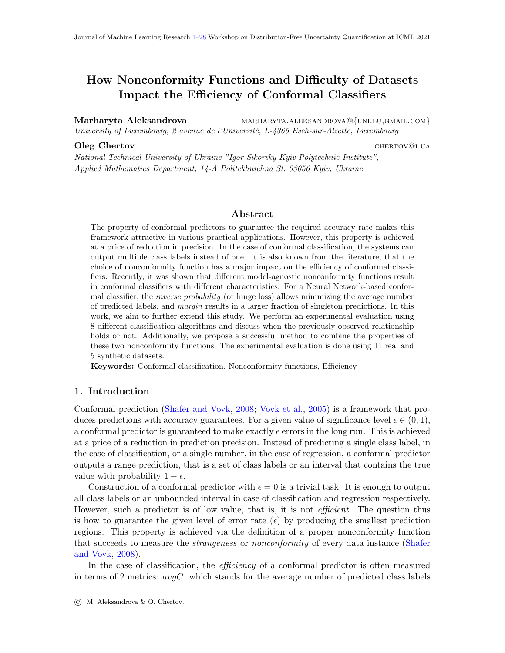|                                  |                       |            | $\epsilon=0.01$   |                   |                | $\epsilon=0.05$   |                   |         | $\epsilon=0.1$    |                   |            | $\epsilon=0.15$   |                   |            | $\epsilon=0.2$    |                   |
|----------------------------------|-----------------------|------------|-------------------|-------------------|----------------|-------------------|-------------------|---------|-------------------|-------------------|------------|-------------------|-------------------|------------|-------------------|-------------------|
|                                  |                       |            |                   | $\overline{\ast}$ |                |                   |                   |         |                   |                   |            |                   |                   |            |                   |                   |
| $oneC$                           | ip                    |            |                   | $\ast$            |                |                   |                   |         |                   |                   |            |                   |                   |            |                   |                   |
|                                  | ip_m                  |            |                   |                   |                |                   |                   |         |                   |                   |            |                   |                   |            |                   |                   |
|                                  | m                     | $+^{\ast}$ | $+^{\ast}$        |                   |                |                   |                   |         |                   |                   |            |                   |                   |            |                   |                   |
| $\mathbf{SVM}$                   |                       | ip         | ip_m              | m                 | ip             | ip_m              | ${\rm m}$         | ip      | ip_m              | m                 | ip         | ip_m              | ${\rm m}$         | ip         | ip_m              | ${\rm m}$         |
|                                  | ip                    |            |                   | $+^*$             |                |                   |                   |         |                   |                   |            |                   |                   |            |                   |                   |
| $avgC$                           | ip_m                  |            |                   | $+^*$             |                |                   |                   |         |                   |                   |            |                   |                   |            |                   |                   |
|                                  | ${\rm m}$             | $\ast$     | $\ast$            |                   |                |                   |                   |         |                   |                   |            |                   |                   |            |                   |                   |
|                                  |                       |            |                   |                   |                |                   |                   |         |                   |                   |            |                   |                   |            |                   |                   |
|                                  | ip                    |            |                   | $\ast$            |                |                   | $\ast$            |         |                   |                   |            |                   |                   |            |                   |                   |
|                                  | ip_m                  |            |                   | $\ast$            |                |                   | $\ast$            |         |                   |                   |            |                   |                   |            |                   |                   |
| $oneC$                           | m                     | $+^*$      | $+^*$             |                   | $+^*$          | $+^*$             |                   |         |                   |                   |            |                   |                   |            |                   |                   |
| $\overline{DT}$                  |                       | ip         | ip_m              | m                 | ip             | ip_m              | ${\rm m}$         | ip      | ip_m              | ${\rm m}$         | ip         | ip_m              | ${\rm m}$         | ip         | ip_m              | ${\bf m}$         |
|                                  |                       |            |                   | $+^*$             |                |                   |                   |         |                   |                   |            |                   |                   |            |                   |                   |
| $\boldsymbol{avg}\boldsymbol{C}$ | ip                    |            |                   |                   |                |                   | $+^*$             |         |                   |                   |            |                   |                   |            |                   |                   |
|                                  | ip_m                  |            |                   | $+^*$             |                |                   | $+^*$             |         |                   |                   |            |                   |                   |            |                   |                   |
|                                  | ${\bf m}$             | $\ast$     | $\ast$            |                   | $\ast$         | $\ast$            |                   |         |                   |                   |            |                   |                   |            |                   |                   |
|                                  |                       |            |                   |                   |                |                   | $\overline{\ast}$ |         |                   |                   |            |                   |                   |            |                   |                   |
|                                  | ip                    |            |                   |                   |                |                   | $\ast$            |         |                   |                   |            |                   |                   |            |                   |                   |
|                                  | ip_m                  |            |                   |                   |                |                   |                   |         |                   |                   |            |                   |                   |            |                   |                   |
|                                  | m                     |            |                   |                   | $+^*$          | $+^*$             |                   |         |                   |                   |            |                   |                   |            |                   |                   |
|                                  |                       | ip         | ip_m              | ${\rm m}$         | ip             | ip_m              | m                 | ip      | ip_m              | ${\rm m}$         | ip         | ip_m              | ${\rm m}$         | ip         | ip_m              | ${\rm m}$         |
|                                  | ip                    |            |                   |                   |                |                   | $\overline{\ast}$ |         |                   |                   |            |                   |                   |            |                   |                   |
| $avgC$                           | ip_m                  |            |                   |                   |                |                   | $\ast$            |         |                   |                   |            |                   |                   |            |                   |                   |
|                                  | ${\bf m}$             |            |                   |                   | $+^{\ast}$     | $+^*$             |                   |         |                   |                   |            |                   |                   |            |                   |                   |
|                                  |                       |            |                   |                   |                |                   |                   |         |                   |                   |            |                   |                   |            |                   |                   |
|                                  | ip                    |            | $\ast$            | $\ast$            |                | $\overline{\ast}$ | $\ast$            |         | $\ast$            | $\ast$            |            | $\overline{\ast}$ | $\ast$            |            | $\overline{\ast}$ | $\ast$            |
| $rac{C}{\frac{8}{\text{Ada}}}$   | ip_m                  | $+^*$      |                   | $\ast$            | $+^*$          |                   | $\ast$            | $+^*$   |                   | $\ast$            | $+^*$      |                   | $\ast$            | $+^*$      |                   | $\ast$            |
|                                  | m                     | $+^*$      | $+^*$             |                   | $+^*$          | $+^*$             |                   | $+^*$   | $+^*$             |                   | $+^*$      | $+^*$             |                   | $+^{\ast}$ | $+^{\ast}$        |                   |
|                                  |                       |            |                   |                   |                |                   |                   |         |                   |                   |            |                   |                   |            |                   |                   |
|                                  |                       | ip         | ip_m              | ${\bf m}$         | ip             | ip_m              | ${\bf m}$         | ip      | ip_m              | ${\bf m}$         | ip         | ip_m              | ${\bf m}$         | ip         | ip_m              | m                 |
| $avgC$                           | ip                    |            | $\overline{\ast}$ | $\overline{\ast}$ |                | $\overline{\ast}$ | $\overline{\ast}$ |         | $\overline{\ast}$ | $\overline{\ast}$ |            | $\overline{\ast}$ | $\overline{\ast}$ |            | ∗                 | $\overline{\ast}$ |
|                                  | ip_m                  | $+^*$      |                   |                   | $+^*$          |                   |                   | $+^*$   |                   |                   | $+^*$      |                   |                   | $+^{\ast}$ |                   |                   |
|                                  | ${\bf m}$             | $+^*$      |                   |                   | $+^*$          |                   |                   |         |                   |                   |            |                   |                   | $+^*$      |                   |                   |
|                                  |                       |            |                   |                   |                |                   |                   | $+^*$   |                   |                   | $+^{\ast}$ |                   |                   |            |                   |                   |
|                                  |                       |            |                   |                   |                |                   |                   |         |                   |                   |            |                   |                   |            |                   |                   |
|                                  | ip                    |            |                   | $\overline{\ast}$ |                |                   |                   |         |                   |                   |            |                   |                   |            |                   |                   |
|                                  | ip_m                  |            |                   | $\ast$            |                |                   |                   |         |                   |                   |            |                   |                   |            |                   |                   |
| $oneC$                           | m                     | $+^{\ast}$ | $+^*$             |                   |                |                   |                   |         |                   |                   |            |                   |                   |            |                   |                   |
|                                  |                       |            |                   | ${\bf m}$         |                |                   | ${\bf m}$         |         |                   | ${\bf m}$         |            |                   | $\, {\rm m}$      |            |                   | ${\bf m}$         |
| $\overline{\text{GNB}}$          |                       | ip         | ip_m              |                   | ip             | ip_m              |                   | ip      | ip_m              |                   | ip         | ip_m              |                   | ip         | ip_m              |                   |
|                                  | ip                    |            |                   | $+\ast$           |                |                   |                   |         |                   |                   |            |                   |                   |            |                   |                   |
|                                  | ip_m                  |            |                   | $+^*$             |                |                   |                   |         |                   |                   |            |                   |                   |            |                   |                   |
| $avgC$                           | ${\bf m}$             | $\ast$     | $\ast$            |                   |                |                   |                   |         |                   |                   |            |                   |                   |            |                   |                   |
|                                  |                       |            |                   | $\overline{\ast}$ |                |                   |                   |         |                   |                   |            |                   |                   |            |                   |                   |
|                                  | ip                    |            |                   | $\ast$            |                |                   |                   |         |                   |                   |            |                   |                   |            |                   |                   |
|                                  | ip_m                  |            |                   |                   |                |                   |                   |         |                   |                   |            |                   |                   |            |                   |                   |
| $oneC$                           | m                     | $+^*$      | $+^*$             |                   |                |                   |                   |         |                   |                   |            |                   |                   |            |                   |                   |
| $\overline{\text{MPR}}$          |                       | ip         | ip_m              | ${\bf m}$         | ip             | ip_m              | ${\bf m}$         | ip      | ip_m              | ${\bf m}$         | ip         | ip_m              | ${\bf m}$         | ip         | ip_m              | ${\bf m}$         |
|                                  | ip                    |            |                   | $+^*$             |                |                   |                   |         |                   |                   |            |                   |                   |            |                   |                   |
|                                  | ip_m                  |            |                   | $+^*$             |                |                   |                   |         |                   |                   |            |                   |                   |            |                   |                   |
| $avgC$                           | ${\bf m}$             | $\ast$     | $\ast$            |                   |                |                   |                   |         |                   |                   |            |                   |                   |            |                   |                   |
|                                  |                       |            |                   |                   |                |                   |                   |         |                   |                   |            |                   |                   |            |                   |                   |
|                                  | ip                    |            | ж                 |                   |                | ж                 |                   |         | ж                 |                   |            |                   |                   |            |                   |                   |
|                                  | ip_m                  | $+^*$      |                   |                   |                |                   |                   | $+^*$   |                   | $\ast$            |            |                   |                   |            |                   |                   |
|                                  | ${\bf m}$             |            |                   |                   |                |                   |                   | .<br>+* | $+^*$             |                   |            |                   |                   |            |                   |                   |
|                                  |                       | $+^*$      |                   | ${\bf m}$         | $+$ *<br>$+$ * |                   | ${\bf m}$         |         |                   | ${\bf m}$         |            |                   | ${\bf m}$         |            |                   | ${\bf m}$         |
| $\frac{C}{\mathbf{R}\mathbf{F}}$ |                       | ip         | $ip_{m}$          |                   | ip             | ip_m<br>$\ast$    |                   | ip      | ip_m              |                   | ip         | ip_m              |                   | ip         | ip_m              |                   |
|                                  | ip                    |            |                   | $+^*$             |                |                   |                   |         |                   |                   |            |                   |                   |            |                   |                   |
|                                  | ip_m                  |            |                   | $+^*$             | $+^*$          |                   | $+^*$             |         |                   |                   |            |                   |                   |            |                   |                   |
| $\log_{2}C$                      | $\mathbf m$           | $\ast$     | $\ast$            |                   |                | $\ast$            |                   |         |                   |                   |            |                   |                   |            |                   |                   |
|                                  |                       |            |                   | $\overline{\ast}$ |                |                   |                   |         |                   |                   |            |                   |                   |            |                   |                   |
|                                  | ip                    |            |                   |                   |                |                   |                   |         |                   |                   |            |                   |                   |            |                   |                   |
|                                  | ip_m                  |            |                   | $\ast$            |                |                   |                   |         |                   |                   |            |                   |                   |            |                   |                   |
|                                  | m                     | $+^*$      | $+^*$             |                   |                |                   |                   |         |                   |                   |            |                   |                   |            |                   |                   |
|                                  |                       | ip         | ip_m              | ${\bf m}$         | ip             | ip_m              | ${\bf m}$         | ip      | ip_m              | ${\bf m}$         | ip         | ip_m              | ${\bf m}$         | ip         | ip_m              | ${\bf m}$         |
|                                  |                       |            |                   | $\overline{+^*}$  |                |                   |                   |         |                   |                   |            |                   |                   |            |                   |                   |
|                                  | ip                    |            |                   |                   |                |                   |                   |         |                   |                   |            |                   |                   |            |                   |                   |
| logC                             | $ip_{m}$<br>${\rm m}$ | $\ast$     | $\ast$            | $+^*$             |                |                   |                   |         |                   |                   |            |                   |                   |            |                   |                   |

<span id="page-13-0"></span>Table 5: Significance of results for  $\sigma = 0.4$ . An empty cell indicates similar performance, see Section [5.1.4.](#page-8-0)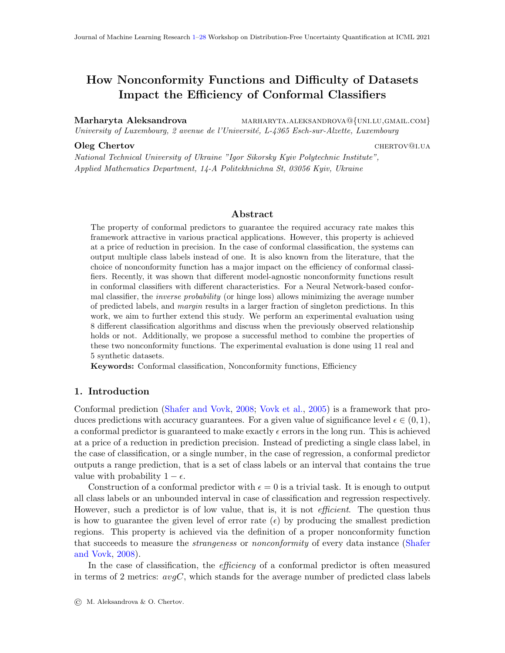dataset, *inverse probability* nonconformity function is the best choice for KNN with  $\epsilon = 0.1$ , see the corresponding matrix in Table [6.](#page-16-0) Additionally, *margin* nonconformity function is the best choice for Ada, KNN with  $\epsilon \in \{0.05, 0.15\}$ , GNB, MPR and QDA with  $\epsilon = 0.2$ .

In Fig. [5](#page-17-2) and Table [7](#page-18-0) we present the results for the synthetic dataset with  $\sigma = 0.8$ . The difficulty of the dataset increases even further with a median of  $b$ -err now reaching  $33.8\%$ , see Fig.  $5(b)$ . Again, we observe a correlation between the accuracy of a classifier in the baseline mode and the efficiency of the resulting conformal predictor. Less accurate classifiers produce conformal predictors with lower values of oneC and larger values of  $avgC$ , see the results for KNN and Ada in Figs.  $5(e)$  and  $5(f)$  for a prominent example. The difference between different nonconformity functions is visible for all algorithms. In 95% of setups the observed differences are statistically significant, see Table [2.](#page-6-0) For this dataset, we again observe M is the best pattern. This is true for SVM with  $\epsilon = 0.01$ , Ada with  $\epsilon \in \{0.05, 0.1\}$  and KNN will all values of  $\epsilon$  except 0.01 and 0.15<sup>[7](#page-14-1)</sup>. This is visible for KNN classifier in Figs.  $5(e)$  and  $5(f)$  and confirmed by the corresponding matrices in Table [7.](#page-18-0)

Finally, the results for the last synthetic dataset with  $\sigma = 1.0$  are presented in Fig. [6](#page-19-2) and Table [8.](#page-20-0) From Fig.  $6(a)$  we can see that a large portion of classes now overlap resulting in values of  $b\_err$  surpassing  $40\%$ , see Fig.  $6(b)$ . With the increase in dataset complexity, the difference between the performance of different nonconformity functions becomes more prominent. As in previous cases, the least accurate classifiers KNN and Ada produce conformal predictors of lower efficiency. Finally, margin nonconformity function results in the best performance for SVM with  $\epsilon = 0.01$  and KNN with all values of  $\epsilon$  except 0.01, see Figs.  $6(c)$  to  $6(f)$  and the corresponding cells in Table [8.](#page-20-0)

There is also an interesting trend shared by most synthetic datasets: the observed relationships stay identical for all values of  $\epsilon$  for some baseline algorithms. It means that for the relative algorithms, the dominance relationship between nonconformity functions does not change with  $\epsilon$ . This tendency was not observed only for the dataset with  $\sigma = 0.2$ , which is also an unrealistically easy dataset. This observation holds for the following cases:

- $\sigma = 0.4$ : Ada classifier for both oneC and avgC all corresponding matrices for oneC and  $avgC$  are identical in Table [5;](#page-13-0)
- $\sigma = 0.6$ : Ada for *oneC* and DT for *avgC*, see Table [6;](#page-16-0)
- $\sigma = 0.8$ : Ada and RF for *oneC*, see Table [7;](#page-18-0)
- $\sigma = 1.0$ : DT, GNB, RF, QDA for oneC and MPR for both oneC and  $avgC$ , see Table [8.](#page-20-0)

#### <span id="page-14-0"></span>5.2. Real-world datasets

We performed the same set of experiments for the real-world datasets from Table [9](#page-22-0) as for the synthetic datasets. To avoid redundancy and reduce the size of this paper, in this section we discuss only aggregated results presented in Table [9](#page-22-0) and do not present plots and significance tables like Fig. [2](#page-10-2) and Table [4](#page-11-0) for individual datasets.

<span id="page-14-1"></span><sup>7.</sup> If a particular pattern is not observed for some small number of values of  $\epsilon$ , we indicate it with strikethrough text in Tables [2](#page-6-0) and [9.](#page-22-0)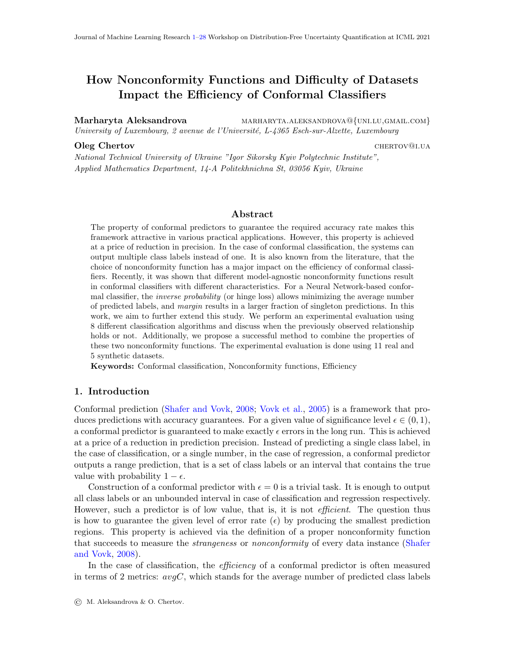<span id="page-15-1"></span><span id="page-15-0"></span>

<span id="page-15-4"></span><span id="page-15-3"></span><span id="page-15-2"></span>Figure 4:  $\sigma = 0.6$ :  $M$  - dashed line,  $IP$  - dash and dot line,  $IP_M$  - thin solid line.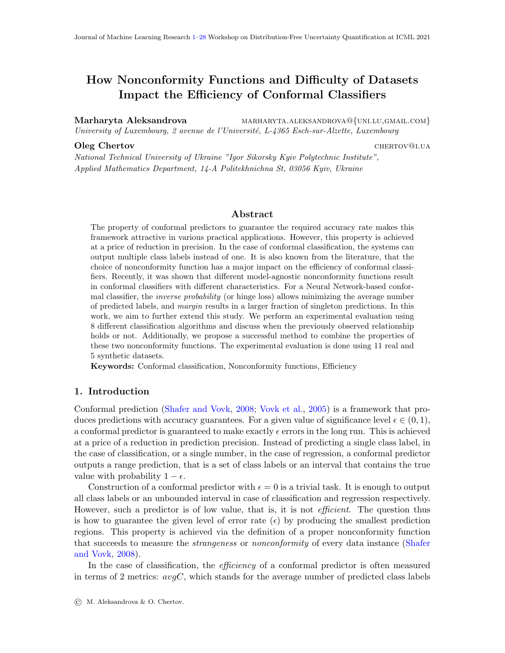| $\overline{\ast}$<br>$\overline{\ast}$<br>$\overline{\ast}$<br>$\overline{\ast}$<br>$\overline{\ast}$<br>ip<br>$oneC$<br>$\ast$<br>$\ast$<br>$\ast$<br>$\ast$<br>$+^*$<br>ip_m<br>$+^{\ast}$<br>$+^*$<br>$+^*$<br>$+^*$<br>$+^{\ast}$<br>$+^*$<br>$+^*$<br>$+^*$<br>${\rm m}$<br>$\overline{\mathrm{SVM}}$<br>ip<br>ip<br>ip<br>ip<br>ip_m<br>ip_m<br>${\rm m}$<br>ip_m<br>${\bf m}$<br>ip_m<br>${\bf m}$<br>${\bf m}$<br>ip<br>ip_m<br>m<br>$+^*$<br>$+\ast$<br>$+\ast$<br>$+\ast$<br>ip<br>$avgC$<br>$+^*$<br>$+^*$<br>$+^*$<br>$+^*$<br>ip_m<br>$\ast$<br>$\ast$<br>$\ast$<br>$\ast$<br>$\ast$<br>$\ast$<br>$\ast$<br>$\ast$<br>${\bf m}$<br>$\ast$<br>$\ast$<br>$\ast$<br>$\ast$<br>$\ast$<br>$\ast$<br>ip<br>oneC<br>$\ast$<br>$\ast$<br>$\ast$<br>$\ast$<br>$+^*$<br>$\ast$<br>$+^*$<br>ip_m<br>$+^{\ast}$<br>$+^*$<br>$+^{\ast}$<br>$+^*$<br>$+^*$<br>$+^*$<br>$+^{\ast}$<br>$+^*$<br>$+^*$<br>$+^*$<br>m<br>$\overline{DT}$<br>$\overline{ip}$<br>$\overline{ip}$<br>$\overline{ip}$<br>ip<br>ip<br>ip_m<br>ip_m<br>ip_m<br>ip_m<br>ip_m<br>${\bf m}$<br>${\bf m}$<br>${\bf m}$<br>${\rm m}$<br>m<br>$+^*$<br>$+^*$<br>$+^*$<br>$+^*$<br>$+^*$<br>ip<br>$avgC$<br>$+^*$<br>$+^*$<br>$+^*$<br>$+^*$<br>$+^{\ast}$<br>ip_m<br>$\ast$<br>$\ast$<br>$\ast$<br>$\ast$<br>$\ast$<br>$\ast$<br>$\ast$<br>$\ast$<br>$\ast$<br>$\ast$<br>${\bf m}$<br>$\overline{\ast}$<br>$\overline{\ast}$<br>ip<br>oneC<br>$\ast$<br>$\ast$<br>ip_m<br>$+^{\ast}$<br>$+^*$<br>$+^{\ast}$<br>$+^*$<br>${\rm m}$<br>$\overline{\text{KNN}}$<br>ip<br>ip<br>$ip_m$<br>ip_m<br>ip_m<br>ip_m<br>ip<br>${\bf m}$<br>ip<br>${\bf m}$<br>${\bf m}$<br>ip<br>ip_m<br>m<br>m<br>$+^*$<br>$\overline{\ast}$<br>₮<br>ip<br>$avgC$<br>$\ast$<br>$\ast$<br>$+^*$<br>ip_m<br>$+^*$<br>$+^*$<br>$+^*$<br>$\ast$<br>$\ast$<br>$+^*$<br>${\bf m}$<br>$\overline{\ast}$<br>$\overline{\ast}$<br>$\overline{\ast}$<br>$\ast$<br>$\ast$<br>$\overline{\ast}$<br>$\ast$<br>$\ast$<br>$\ast$<br>ip<br>$\sqrt{\frac{C}{\frac{8}{\text{Ada}}}}$<br>$\ast$<br>$\ast$<br>$\ast$<br>$\ast$<br>$\ast$<br>$+^*$<br>$+^*$<br>$+^*$<br>$+^*$<br>$+^*$<br>ip_m<br>$+^*$<br>$+^*$<br>$+^*$<br>$+^*$<br>$+^*$<br>$+^*$<br>$+^*$<br>$+^{\ast}$<br>$+^*$<br>$+^*$<br>${\rm m}$<br>ip<br>ip<br>ip<br>ip<br>ip<br>ip_m<br>ip_m<br>ip_m<br>ip_m<br>ip_m<br>${\bf m}$<br>m<br>${\bf m}$<br>${\rm m}$<br>${\bf m}$<br>$\overline{\ast}$<br>$\overline{\ast}$<br>$\overline{\ast}$<br>$\overline{\ast}$<br>$\overline{\ast}$<br>₮<br>ip<br>$avgC$<br>$+^*$<br>$+^*$<br>$+^{\ast}$<br>$+^*$<br>ip_m<br>$+^*$<br>$+^*$<br>$+^*$<br>$+^*$<br>${\bf m}$<br>$\overline{\ast}$<br>$\overline{\ast}$<br>$\overline{\ast}$<br>$\overline{\ast}$<br>$\overline{\ast}$<br>$\ast$<br>ip<br>oneC<br>$\ast$<br>$\ast$<br>$\ast$<br>$\ast$<br>$\ast$<br>$+^*$<br>ip_m<br>$+^*$<br>$+^{\ast}$<br>$+^*$<br>$+^{\ast}$<br>$+^{\ast}$<br>$+^{\ast}$<br>$+^{\ast}$<br>$+^{\ast}$<br>$+^*$<br>$+^*$<br>m<br>$\overline{\textbf{GNB}}$<br>$\overline{ip}$<br>$\overline{ip}$<br>ip<br>ip<br>ip<br>ip_m<br>ip_m<br>ip_m<br>ip_m<br>${\bf m}$<br>ip_m<br>${\bf m}$<br>${\bf m}$<br>$\, {\rm m}$<br>m<br>$\overline{\ast}$<br>$+\ast$<br>$+^*$<br>$+^*$<br>$+^*$<br>ip<br>$avgC$<br>$+^*$<br>$+^*$<br>$+^*$<br>$+^*$<br>$+^*$<br>ip_m<br>$\ast$<br>$\ast$<br>$\ast$<br>$\ast$<br>$\ast$<br>$\ast$<br>$\ast$<br>$\ast$<br>${\bf m}$<br>$\overline{\ast}$<br>$\overline{\ast}$<br>$\overline{\ast}$<br>$\overline{\ast}$<br>$\overline{\ast}$<br>$\ast$<br>ip<br>oneC<br>$\ast$<br>$\ast$<br>$\ast$<br>$\ast$<br>$\ast$<br>$+^*$<br>ip_m<br>$+^{\ast}$<br>$+^*$<br>$+^*$<br>$+^*$<br>$+^*$<br>$+^*$<br>$+^{\ast}$<br>$+^*$<br>$+^{\ast}$<br>$+^*$<br>m<br>$\overline{\text{MPR}}$<br>ip<br>ip<br>ip<br>ip<br>ip<br>ip_m<br>ip_m<br>ip_m<br>ip_m<br>${\bf m}$<br>ip_m<br>${\bf m}$<br>${\bf m}$<br>m<br>m<br>$\overline{\ast}$<br>$+^*$<br>$+^*$<br>$+^*$<br>$+\ast$<br>ip<br>$avgC$<br>$+^*$<br>$+^*$<br>$+^{\ast}$<br>$+^*$<br>$+^*$<br>ip_m<br>$\ast$<br>$\ast$<br>$\ast$<br>$\ast$<br>$\ast$<br>$\ast$<br>$\ast$<br>$\ast$<br>${\rm m}$<br>$\ast$<br>$\ast$<br>$\ast$<br>$\ast$<br>$\ast$<br>$\ast$<br>$\ast$<br>$\ast$<br>$\ast$<br>ip<br>$rac{C}{\text{RF}}$<br>$\ast$<br>$\ast$<br>$\ast$<br>$\ast$<br>$\ast$<br>$+{*\atop +}$<br>$+^*$<br>$+{*\atop +}$<br>ip_m<br>$+$<br><br><br><br><br><br><br><br><br><br><br><br><br><br><br><br><br>$+$ *<br>$+$ *<br>$+$ *<br>$+$ *<br>$+^*$<br>$+^*$<br>$\pm^*$<br>$\mathbf m$<br>$\overline{ip}$<br>$\overline{ip}$<br>ip<br>ip<br>ip_m<br>$ip_m$<br>ip<br>$ip_m$<br>ip_m<br>ip_m<br>${\bf m}$<br>${\bf m}$<br>${\bf m}$<br>${\bf m}$<br>${\bf m}$<br>$\overline{\ast}$<br>$\ast$<br>$\ast$<br>$+^*$<br>$+^*$<br>$+^*$<br>$+^*$<br>$+^*$<br>ip<br>$\begin{array}{c}\n\hline\n-\hline\n\end{array}$ $\begin{array}{c}\n\hline\n\end{array}$ $\begin{array}{c}\n\hline\n\end{array}$ $\begin{array}{c}\n\hline\n\end{array}$ $\begin{array}{c}\n\hline\n\end{array}$ $\begin{array}{c}\n\hline\n\end{array}$ $\begin{array}{c}\n\hline\n\end{array}$ $\begin{array}{c}\n\hline\n\end{array}$ $\begin{array}{c}\n\hline\n\end{array}$<br>$+^*$<br>$+^*$<br>$+^*$<br>$+^\ast_\ast$<br>$+^*$<br>$+^*$<br>$+^{\ast}$<br>$+^{\ast}$<br>ip_m<br>$\ast$<br>$\ast$<br>$\ast$<br>$\ast$<br>$\ast$<br>$\ast$<br>$\ast$<br>$\ast$<br>${\bf m}$<br>$\overline{\ast}$<br>$\overline{\ast}$<br>$\overline{\ast}$<br>$\overline{\ast}$<br>$\overline{\ast}$<br>$\overline{\ast}$<br>ip<br>$\ast$<br>$\ast$<br>$\ast$<br>$\ast$<br>$\ast$<br>$+$<br><br><br><br><br><br><br><br><br><br><br><br><br><br><br><br><br>ip_m<br>$+^*$<br>$+^{\ast}$<br>$+^*$<br>$+^*$<br>$+^*$<br>$+^*$<br>$+^*$<br>$+^*$<br>$+^*$<br>$\mathbf{m}$<br>$\overline{ip}$<br>$\overline{ip}$<br>$ip_m$<br>$\overline{ip}$<br>ip<br>$ip_{m}$<br>$ip_{m}$<br>ip_m<br>ip<br>ip_m<br>${\bf m}$<br>${\bf m}$<br>${\bf m}$<br>m<br>${\bf m}$<br>$\overline{\ast}$<br>$+\ast$<br>$+^*$<br>$+\ast$<br>$+\ast$<br>ip<br>$ log_{10}$<br>$+^*$<br>$+^*$<br>$+^{\ast}$<br>$+^*$<br>ip_m<br>$+^\ast_\ast$<br>$\ast$<br>$\ast$<br>$\ast$<br>$\ast$<br>$\ast$<br>$\ast$<br>$\ast$<br>${\rm m}$ |  | $\epsilon=0.01$ |  | $\epsilon=0.05$ |  | $\epsilon=0.1$ |  | $\epsilon=0.15$ |  | $\epsilon=0.2$ |  |
|----------------------------------------------------------------------------------------------------------------------------------------------------------------------------------------------------------------------------------------------------------------------------------------------------------------------------------------------------------------------------------------------------------------------------------------------------------------------------------------------------------------------------------------------------------------------------------------------------------------------------------------------------------------------------------------------------------------------------------------------------------------------------------------------------------------------------------------------------------------------------------------------------------------------------------------------------------------------------------------------------------------------------------------------------------------------------------------------------------------------------------------------------------------------------------------------------------------------------------------------------------------------------------------------------------------------------------------------------------------------------------------------------------------------------------------------------------------------------------------------------------------------------------------------------------------------------------------------------------------------------------------------------------------------------------------------------------------------------------------------------------------------------------------------------------------------------------------------------------------------------------------------------------------------------------------------------------------------------------------------------------------------------------------------------------------------------------------------------------------------------------------------------------------------------------------------------------------------------------------------------------------------------------------------------------------------------------------------------------------------------------------------------------------------------------------------------------------------------------------------------------------------------------------------------------------------------------------------------------------------------------------------------------------------------------------------------------------------------------------------------------------------------------------------------------------------------------------------------------------------------------------------------------------------------------------------------------------------------------------------------------------------------------------------------------------------------------------------------------------------------------------------------------------------------------------------------------------------------------------------------------------------------------------------------------------------------------------------------------------------------------------------------------------------------------------------------------------------------------------------------------------------------------------------------------------------------------------------------------------------------------------------------------------------------------------------------------------------------------------------------------------------------------------------------------------------------------------------------------------------------------------------------------------------------------------------------------------------------------------------------------------------------------------------------------------------------------------------------------------------------------------------------------------------------------------------------------------------------------------------------------------------------------------------------------------------------------------------------------------------------------------------------------------------------------------------------------------------------------------------------------------------------------------------------------------------------------------------------------------------------------------------------------------------------------------------------------------------------------------------------------------------------------------------------------------------------------------------------------------------------------------------------------------------------------------------------------------------------------------------------------------------------------------------------------------------------------------------------------------------------------------------------------------------------------------------------------------------------------------------------------------------------------------------------------------------------------------------------------------------------------------------------------------------------------------------------------------------------------------------------------------------------------------------------------------------------------------------------------------------------------------------------------------------------------------------------------------------------------------------------------------------------------------------------------------------------------------------------------------------------------------------------------------------------------------------------------------------------------------------------------------------------------------------------------------------------------------------------|--|-----------------|--|-----------------|--|----------------|--|-----------------|--|----------------|--|
|                                                                                                                                                                                                                                                                                                                                                                                                                                                                                                                                                                                                                                                                                                                                                                                                                                                                                                                                                                                                                                                                                                                                                                                                                                                                                                                                                                                                                                                                                                                                                                                                                                                                                                                                                                                                                                                                                                                                                                                                                                                                                                                                                                                                                                                                                                                                                                                                                                                                                                                                                                                                                                                                                                                                                                                                                                                                                                                                                                                                                                                                                                                                                                                                                                                                                                                                                                                                                                                                                                                                                                                                                                                                                                                                                                                                                                                                                                                                                                                                                                                                                                                                                                                                                                                                                                                                                                                                                                                                                                                                                                                                                                                                                                                                                                                                                                                                                                                                                                                                                                                                                                                                                                                                                                                                                                                                                                                                                                                                                                                                                                                                                                                                                                                                                                                                                                                                                                                                                                                                                                                                                                    |  |                 |  |                 |  |                |  |                 |  |                |  |
|                                                                                                                                                                                                                                                                                                                                                                                                                                                                                                                                                                                                                                                                                                                                                                                                                                                                                                                                                                                                                                                                                                                                                                                                                                                                                                                                                                                                                                                                                                                                                                                                                                                                                                                                                                                                                                                                                                                                                                                                                                                                                                                                                                                                                                                                                                                                                                                                                                                                                                                                                                                                                                                                                                                                                                                                                                                                                                                                                                                                                                                                                                                                                                                                                                                                                                                                                                                                                                                                                                                                                                                                                                                                                                                                                                                                                                                                                                                                                                                                                                                                                                                                                                                                                                                                                                                                                                                                                                                                                                                                                                                                                                                                                                                                                                                                                                                                                                                                                                                                                                                                                                                                                                                                                                                                                                                                                                                                                                                                                                                                                                                                                                                                                                                                                                                                                                                                                                                                                                                                                                                                                                    |  |                 |  |                 |  |                |  |                 |  |                |  |
|                                                                                                                                                                                                                                                                                                                                                                                                                                                                                                                                                                                                                                                                                                                                                                                                                                                                                                                                                                                                                                                                                                                                                                                                                                                                                                                                                                                                                                                                                                                                                                                                                                                                                                                                                                                                                                                                                                                                                                                                                                                                                                                                                                                                                                                                                                                                                                                                                                                                                                                                                                                                                                                                                                                                                                                                                                                                                                                                                                                                                                                                                                                                                                                                                                                                                                                                                                                                                                                                                                                                                                                                                                                                                                                                                                                                                                                                                                                                                                                                                                                                                                                                                                                                                                                                                                                                                                                                                                                                                                                                                                                                                                                                                                                                                                                                                                                                                                                                                                                                                                                                                                                                                                                                                                                                                                                                                                                                                                                                                                                                                                                                                                                                                                                                                                                                                                                                                                                                                                                                                                                                                                    |  |                 |  |                 |  |                |  |                 |  |                |  |
|                                                                                                                                                                                                                                                                                                                                                                                                                                                                                                                                                                                                                                                                                                                                                                                                                                                                                                                                                                                                                                                                                                                                                                                                                                                                                                                                                                                                                                                                                                                                                                                                                                                                                                                                                                                                                                                                                                                                                                                                                                                                                                                                                                                                                                                                                                                                                                                                                                                                                                                                                                                                                                                                                                                                                                                                                                                                                                                                                                                                                                                                                                                                                                                                                                                                                                                                                                                                                                                                                                                                                                                                                                                                                                                                                                                                                                                                                                                                                                                                                                                                                                                                                                                                                                                                                                                                                                                                                                                                                                                                                                                                                                                                                                                                                                                                                                                                                                                                                                                                                                                                                                                                                                                                                                                                                                                                                                                                                                                                                                                                                                                                                                                                                                                                                                                                                                                                                                                                                                                                                                                                                                    |  |                 |  |                 |  |                |  |                 |  |                |  |
|                                                                                                                                                                                                                                                                                                                                                                                                                                                                                                                                                                                                                                                                                                                                                                                                                                                                                                                                                                                                                                                                                                                                                                                                                                                                                                                                                                                                                                                                                                                                                                                                                                                                                                                                                                                                                                                                                                                                                                                                                                                                                                                                                                                                                                                                                                                                                                                                                                                                                                                                                                                                                                                                                                                                                                                                                                                                                                                                                                                                                                                                                                                                                                                                                                                                                                                                                                                                                                                                                                                                                                                                                                                                                                                                                                                                                                                                                                                                                                                                                                                                                                                                                                                                                                                                                                                                                                                                                                                                                                                                                                                                                                                                                                                                                                                                                                                                                                                                                                                                                                                                                                                                                                                                                                                                                                                                                                                                                                                                                                                                                                                                                                                                                                                                                                                                                                                                                                                                                                                                                                                                                                    |  |                 |  |                 |  |                |  |                 |  |                |  |
|                                                                                                                                                                                                                                                                                                                                                                                                                                                                                                                                                                                                                                                                                                                                                                                                                                                                                                                                                                                                                                                                                                                                                                                                                                                                                                                                                                                                                                                                                                                                                                                                                                                                                                                                                                                                                                                                                                                                                                                                                                                                                                                                                                                                                                                                                                                                                                                                                                                                                                                                                                                                                                                                                                                                                                                                                                                                                                                                                                                                                                                                                                                                                                                                                                                                                                                                                                                                                                                                                                                                                                                                                                                                                                                                                                                                                                                                                                                                                                                                                                                                                                                                                                                                                                                                                                                                                                                                                                                                                                                                                                                                                                                                                                                                                                                                                                                                                                                                                                                                                                                                                                                                                                                                                                                                                                                                                                                                                                                                                                                                                                                                                                                                                                                                                                                                                                                                                                                                                                                                                                                                                                    |  |                 |  |                 |  |                |  |                 |  |                |  |
|                                                                                                                                                                                                                                                                                                                                                                                                                                                                                                                                                                                                                                                                                                                                                                                                                                                                                                                                                                                                                                                                                                                                                                                                                                                                                                                                                                                                                                                                                                                                                                                                                                                                                                                                                                                                                                                                                                                                                                                                                                                                                                                                                                                                                                                                                                                                                                                                                                                                                                                                                                                                                                                                                                                                                                                                                                                                                                                                                                                                                                                                                                                                                                                                                                                                                                                                                                                                                                                                                                                                                                                                                                                                                                                                                                                                                                                                                                                                                                                                                                                                                                                                                                                                                                                                                                                                                                                                                                                                                                                                                                                                                                                                                                                                                                                                                                                                                                                                                                                                                                                                                                                                                                                                                                                                                                                                                                                                                                                                                                                                                                                                                                                                                                                                                                                                                                                                                                                                                                                                                                                                                                    |  |                 |  |                 |  |                |  |                 |  |                |  |
|                                                                                                                                                                                                                                                                                                                                                                                                                                                                                                                                                                                                                                                                                                                                                                                                                                                                                                                                                                                                                                                                                                                                                                                                                                                                                                                                                                                                                                                                                                                                                                                                                                                                                                                                                                                                                                                                                                                                                                                                                                                                                                                                                                                                                                                                                                                                                                                                                                                                                                                                                                                                                                                                                                                                                                                                                                                                                                                                                                                                                                                                                                                                                                                                                                                                                                                                                                                                                                                                                                                                                                                                                                                                                                                                                                                                                                                                                                                                                                                                                                                                                                                                                                                                                                                                                                                                                                                                                                                                                                                                                                                                                                                                                                                                                                                                                                                                                                                                                                                                                                                                                                                                                                                                                                                                                                                                                                                                                                                                                                                                                                                                                                                                                                                                                                                                                                                                                                                                                                                                                                                                                                    |  |                 |  |                 |  |                |  |                 |  |                |  |
|                                                                                                                                                                                                                                                                                                                                                                                                                                                                                                                                                                                                                                                                                                                                                                                                                                                                                                                                                                                                                                                                                                                                                                                                                                                                                                                                                                                                                                                                                                                                                                                                                                                                                                                                                                                                                                                                                                                                                                                                                                                                                                                                                                                                                                                                                                                                                                                                                                                                                                                                                                                                                                                                                                                                                                                                                                                                                                                                                                                                                                                                                                                                                                                                                                                                                                                                                                                                                                                                                                                                                                                                                                                                                                                                                                                                                                                                                                                                                                                                                                                                                                                                                                                                                                                                                                                                                                                                                                                                                                                                                                                                                                                                                                                                                                                                                                                                                                                                                                                                                                                                                                                                                                                                                                                                                                                                                                                                                                                                                                                                                                                                                                                                                                                                                                                                                                                                                                                                                                                                                                                                                                    |  |                 |  |                 |  |                |  |                 |  |                |  |
|                                                                                                                                                                                                                                                                                                                                                                                                                                                                                                                                                                                                                                                                                                                                                                                                                                                                                                                                                                                                                                                                                                                                                                                                                                                                                                                                                                                                                                                                                                                                                                                                                                                                                                                                                                                                                                                                                                                                                                                                                                                                                                                                                                                                                                                                                                                                                                                                                                                                                                                                                                                                                                                                                                                                                                                                                                                                                                                                                                                                                                                                                                                                                                                                                                                                                                                                                                                                                                                                                                                                                                                                                                                                                                                                                                                                                                                                                                                                                                                                                                                                                                                                                                                                                                                                                                                                                                                                                                                                                                                                                                                                                                                                                                                                                                                                                                                                                                                                                                                                                                                                                                                                                                                                                                                                                                                                                                                                                                                                                                                                                                                                                                                                                                                                                                                                                                                                                                                                                                                                                                                                                                    |  |                 |  |                 |  |                |  |                 |  |                |  |
|                                                                                                                                                                                                                                                                                                                                                                                                                                                                                                                                                                                                                                                                                                                                                                                                                                                                                                                                                                                                                                                                                                                                                                                                                                                                                                                                                                                                                                                                                                                                                                                                                                                                                                                                                                                                                                                                                                                                                                                                                                                                                                                                                                                                                                                                                                                                                                                                                                                                                                                                                                                                                                                                                                                                                                                                                                                                                                                                                                                                                                                                                                                                                                                                                                                                                                                                                                                                                                                                                                                                                                                                                                                                                                                                                                                                                                                                                                                                                                                                                                                                                                                                                                                                                                                                                                                                                                                                                                                                                                                                                                                                                                                                                                                                                                                                                                                                                                                                                                                                                                                                                                                                                                                                                                                                                                                                                                                                                                                                                                                                                                                                                                                                                                                                                                                                                                                                                                                                                                                                                                                                                                    |  |                 |  |                 |  |                |  |                 |  |                |  |
|                                                                                                                                                                                                                                                                                                                                                                                                                                                                                                                                                                                                                                                                                                                                                                                                                                                                                                                                                                                                                                                                                                                                                                                                                                                                                                                                                                                                                                                                                                                                                                                                                                                                                                                                                                                                                                                                                                                                                                                                                                                                                                                                                                                                                                                                                                                                                                                                                                                                                                                                                                                                                                                                                                                                                                                                                                                                                                                                                                                                                                                                                                                                                                                                                                                                                                                                                                                                                                                                                                                                                                                                                                                                                                                                                                                                                                                                                                                                                                                                                                                                                                                                                                                                                                                                                                                                                                                                                                                                                                                                                                                                                                                                                                                                                                                                                                                                                                                                                                                                                                                                                                                                                                                                                                                                                                                                                                                                                                                                                                                                                                                                                                                                                                                                                                                                                                                                                                                                                                                                                                                                                                    |  |                 |  |                 |  |                |  |                 |  |                |  |
|                                                                                                                                                                                                                                                                                                                                                                                                                                                                                                                                                                                                                                                                                                                                                                                                                                                                                                                                                                                                                                                                                                                                                                                                                                                                                                                                                                                                                                                                                                                                                                                                                                                                                                                                                                                                                                                                                                                                                                                                                                                                                                                                                                                                                                                                                                                                                                                                                                                                                                                                                                                                                                                                                                                                                                                                                                                                                                                                                                                                                                                                                                                                                                                                                                                                                                                                                                                                                                                                                                                                                                                                                                                                                                                                                                                                                                                                                                                                                                                                                                                                                                                                                                                                                                                                                                                                                                                                                                                                                                                                                                                                                                                                                                                                                                                                                                                                                                                                                                                                                                                                                                                                                                                                                                                                                                                                                                                                                                                                                                                                                                                                                                                                                                                                                                                                                                                                                                                                                                                                                                                                                                    |  |                 |  |                 |  |                |  |                 |  |                |  |
|                                                                                                                                                                                                                                                                                                                                                                                                                                                                                                                                                                                                                                                                                                                                                                                                                                                                                                                                                                                                                                                                                                                                                                                                                                                                                                                                                                                                                                                                                                                                                                                                                                                                                                                                                                                                                                                                                                                                                                                                                                                                                                                                                                                                                                                                                                                                                                                                                                                                                                                                                                                                                                                                                                                                                                                                                                                                                                                                                                                                                                                                                                                                                                                                                                                                                                                                                                                                                                                                                                                                                                                                                                                                                                                                                                                                                                                                                                                                                                                                                                                                                                                                                                                                                                                                                                                                                                                                                                                                                                                                                                                                                                                                                                                                                                                                                                                                                                                                                                                                                                                                                                                                                                                                                                                                                                                                                                                                                                                                                                                                                                                                                                                                                                                                                                                                                                                                                                                                                                                                                                                                                                    |  |                 |  |                 |  |                |  |                 |  |                |  |
|                                                                                                                                                                                                                                                                                                                                                                                                                                                                                                                                                                                                                                                                                                                                                                                                                                                                                                                                                                                                                                                                                                                                                                                                                                                                                                                                                                                                                                                                                                                                                                                                                                                                                                                                                                                                                                                                                                                                                                                                                                                                                                                                                                                                                                                                                                                                                                                                                                                                                                                                                                                                                                                                                                                                                                                                                                                                                                                                                                                                                                                                                                                                                                                                                                                                                                                                                                                                                                                                                                                                                                                                                                                                                                                                                                                                                                                                                                                                                                                                                                                                                                                                                                                                                                                                                                                                                                                                                                                                                                                                                                                                                                                                                                                                                                                                                                                                                                                                                                                                                                                                                                                                                                                                                                                                                                                                                                                                                                                                                                                                                                                                                                                                                                                                                                                                                                                                                                                                                                                                                                                                                                    |  |                 |  |                 |  |                |  |                 |  |                |  |
|                                                                                                                                                                                                                                                                                                                                                                                                                                                                                                                                                                                                                                                                                                                                                                                                                                                                                                                                                                                                                                                                                                                                                                                                                                                                                                                                                                                                                                                                                                                                                                                                                                                                                                                                                                                                                                                                                                                                                                                                                                                                                                                                                                                                                                                                                                                                                                                                                                                                                                                                                                                                                                                                                                                                                                                                                                                                                                                                                                                                                                                                                                                                                                                                                                                                                                                                                                                                                                                                                                                                                                                                                                                                                                                                                                                                                                                                                                                                                                                                                                                                                                                                                                                                                                                                                                                                                                                                                                                                                                                                                                                                                                                                                                                                                                                                                                                                                                                                                                                                                                                                                                                                                                                                                                                                                                                                                                                                                                                                                                                                                                                                                                                                                                                                                                                                                                                                                                                                                                                                                                                                                                    |  |                 |  |                 |  |                |  |                 |  |                |  |
|                                                                                                                                                                                                                                                                                                                                                                                                                                                                                                                                                                                                                                                                                                                                                                                                                                                                                                                                                                                                                                                                                                                                                                                                                                                                                                                                                                                                                                                                                                                                                                                                                                                                                                                                                                                                                                                                                                                                                                                                                                                                                                                                                                                                                                                                                                                                                                                                                                                                                                                                                                                                                                                                                                                                                                                                                                                                                                                                                                                                                                                                                                                                                                                                                                                                                                                                                                                                                                                                                                                                                                                                                                                                                                                                                                                                                                                                                                                                                                                                                                                                                                                                                                                                                                                                                                                                                                                                                                                                                                                                                                                                                                                                                                                                                                                                                                                                                                                                                                                                                                                                                                                                                                                                                                                                                                                                                                                                                                                                                                                                                                                                                                                                                                                                                                                                                                                                                                                                                                                                                                                                                                    |  |                 |  |                 |  |                |  |                 |  |                |  |
|                                                                                                                                                                                                                                                                                                                                                                                                                                                                                                                                                                                                                                                                                                                                                                                                                                                                                                                                                                                                                                                                                                                                                                                                                                                                                                                                                                                                                                                                                                                                                                                                                                                                                                                                                                                                                                                                                                                                                                                                                                                                                                                                                                                                                                                                                                                                                                                                                                                                                                                                                                                                                                                                                                                                                                                                                                                                                                                                                                                                                                                                                                                                                                                                                                                                                                                                                                                                                                                                                                                                                                                                                                                                                                                                                                                                                                                                                                                                                                                                                                                                                                                                                                                                                                                                                                                                                                                                                                                                                                                                                                                                                                                                                                                                                                                                                                                                                                                                                                                                                                                                                                                                                                                                                                                                                                                                                                                                                                                                                                                                                                                                                                                                                                                                                                                                                                                                                                                                                                                                                                                                                                    |  |                 |  |                 |  |                |  |                 |  |                |  |
|                                                                                                                                                                                                                                                                                                                                                                                                                                                                                                                                                                                                                                                                                                                                                                                                                                                                                                                                                                                                                                                                                                                                                                                                                                                                                                                                                                                                                                                                                                                                                                                                                                                                                                                                                                                                                                                                                                                                                                                                                                                                                                                                                                                                                                                                                                                                                                                                                                                                                                                                                                                                                                                                                                                                                                                                                                                                                                                                                                                                                                                                                                                                                                                                                                                                                                                                                                                                                                                                                                                                                                                                                                                                                                                                                                                                                                                                                                                                                                                                                                                                                                                                                                                                                                                                                                                                                                                                                                                                                                                                                                                                                                                                                                                                                                                                                                                                                                                                                                                                                                                                                                                                                                                                                                                                                                                                                                                                                                                                                                                                                                                                                                                                                                                                                                                                                                                                                                                                                                                                                                                                                                    |  |                 |  |                 |  |                |  |                 |  |                |  |
|                                                                                                                                                                                                                                                                                                                                                                                                                                                                                                                                                                                                                                                                                                                                                                                                                                                                                                                                                                                                                                                                                                                                                                                                                                                                                                                                                                                                                                                                                                                                                                                                                                                                                                                                                                                                                                                                                                                                                                                                                                                                                                                                                                                                                                                                                                                                                                                                                                                                                                                                                                                                                                                                                                                                                                                                                                                                                                                                                                                                                                                                                                                                                                                                                                                                                                                                                                                                                                                                                                                                                                                                                                                                                                                                                                                                                                                                                                                                                                                                                                                                                                                                                                                                                                                                                                                                                                                                                                                                                                                                                                                                                                                                                                                                                                                                                                                                                                                                                                                                                                                                                                                                                                                                                                                                                                                                                                                                                                                                                                                                                                                                                                                                                                                                                                                                                                                                                                                                                                                                                                                                                                    |  |                 |  |                 |  |                |  |                 |  |                |  |
|                                                                                                                                                                                                                                                                                                                                                                                                                                                                                                                                                                                                                                                                                                                                                                                                                                                                                                                                                                                                                                                                                                                                                                                                                                                                                                                                                                                                                                                                                                                                                                                                                                                                                                                                                                                                                                                                                                                                                                                                                                                                                                                                                                                                                                                                                                                                                                                                                                                                                                                                                                                                                                                                                                                                                                                                                                                                                                                                                                                                                                                                                                                                                                                                                                                                                                                                                                                                                                                                                                                                                                                                                                                                                                                                                                                                                                                                                                                                                                                                                                                                                                                                                                                                                                                                                                                                                                                                                                                                                                                                                                                                                                                                                                                                                                                                                                                                                                                                                                                                                                                                                                                                                                                                                                                                                                                                                                                                                                                                                                                                                                                                                                                                                                                                                                                                                                                                                                                                                                                                                                                                                                    |  |                 |  |                 |  |                |  |                 |  |                |  |
|                                                                                                                                                                                                                                                                                                                                                                                                                                                                                                                                                                                                                                                                                                                                                                                                                                                                                                                                                                                                                                                                                                                                                                                                                                                                                                                                                                                                                                                                                                                                                                                                                                                                                                                                                                                                                                                                                                                                                                                                                                                                                                                                                                                                                                                                                                                                                                                                                                                                                                                                                                                                                                                                                                                                                                                                                                                                                                                                                                                                                                                                                                                                                                                                                                                                                                                                                                                                                                                                                                                                                                                                                                                                                                                                                                                                                                                                                                                                                                                                                                                                                                                                                                                                                                                                                                                                                                                                                                                                                                                                                                                                                                                                                                                                                                                                                                                                                                                                                                                                                                                                                                                                                                                                                                                                                                                                                                                                                                                                                                                                                                                                                                                                                                                                                                                                                                                                                                                                                                                                                                                                                                    |  |                 |  |                 |  |                |  |                 |  |                |  |
|                                                                                                                                                                                                                                                                                                                                                                                                                                                                                                                                                                                                                                                                                                                                                                                                                                                                                                                                                                                                                                                                                                                                                                                                                                                                                                                                                                                                                                                                                                                                                                                                                                                                                                                                                                                                                                                                                                                                                                                                                                                                                                                                                                                                                                                                                                                                                                                                                                                                                                                                                                                                                                                                                                                                                                                                                                                                                                                                                                                                                                                                                                                                                                                                                                                                                                                                                                                                                                                                                                                                                                                                                                                                                                                                                                                                                                                                                                                                                                                                                                                                                                                                                                                                                                                                                                                                                                                                                                                                                                                                                                                                                                                                                                                                                                                                                                                                                                                                                                                                                                                                                                                                                                                                                                                                                                                                                                                                                                                                                                                                                                                                                                                                                                                                                                                                                                                                                                                                                                                                                                                                                                    |  |                 |  |                 |  |                |  |                 |  |                |  |
|                                                                                                                                                                                                                                                                                                                                                                                                                                                                                                                                                                                                                                                                                                                                                                                                                                                                                                                                                                                                                                                                                                                                                                                                                                                                                                                                                                                                                                                                                                                                                                                                                                                                                                                                                                                                                                                                                                                                                                                                                                                                                                                                                                                                                                                                                                                                                                                                                                                                                                                                                                                                                                                                                                                                                                                                                                                                                                                                                                                                                                                                                                                                                                                                                                                                                                                                                                                                                                                                                                                                                                                                                                                                                                                                                                                                                                                                                                                                                                                                                                                                                                                                                                                                                                                                                                                                                                                                                                                                                                                                                                                                                                                                                                                                                                                                                                                                                                                                                                                                                                                                                                                                                                                                                                                                                                                                                                                                                                                                                                                                                                                                                                                                                                                                                                                                                                                                                                                                                                                                                                                                                                    |  |                 |  |                 |  |                |  |                 |  |                |  |
|                                                                                                                                                                                                                                                                                                                                                                                                                                                                                                                                                                                                                                                                                                                                                                                                                                                                                                                                                                                                                                                                                                                                                                                                                                                                                                                                                                                                                                                                                                                                                                                                                                                                                                                                                                                                                                                                                                                                                                                                                                                                                                                                                                                                                                                                                                                                                                                                                                                                                                                                                                                                                                                                                                                                                                                                                                                                                                                                                                                                                                                                                                                                                                                                                                                                                                                                                                                                                                                                                                                                                                                                                                                                                                                                                                                                                                                                                                                                                                                                                                                                                                                                                                                                                                                                                                                                                                                                                                                                                                                                                                                                                                                                                                                                                                                                                                                                                                                                                                                                                                                                                                                                                                                                                                                                                                                                                                                                                                                                                                                                                                                                                                                                                                                                                                                                                                                                                                                                                                                                                                                                                                    |  |                 |  |                 |  |                |  |                 |  |                |  |
|                                                                                                                                                                                                                                                                                                                                                                                                                                                                                                                                                                                                                                                                                                                                                                                                                                                                                                                                                                                                                                                                                                                                                                                                                                                                                                                                                                                                                                                                                                                                                                                                                                                                                                                                                                                                                                                                                                                                                                                                                                                                                                                                                                                                                                                                                                                                                                                                                                                                                                                                                                                                                                                                                                                                                                                                                                                                                                                                                                                                                                                                                                                                                                                                                                                                                                                                                                                                                                                                                                                                                                                                                                                                                                                                                                                                                                                                                                                                                                                                                                                                                                                                                                                                                                                                                                                                                                                                                                                                                                                                                                                                                                                                                                                                                                                                                                                                                                                                                                                                                                                                                                                                                                                                                                                                                                                                                                                                                                                                                                                                                                                                                                                                                                                                                                                                                                                                                                                                                                                                                                                                                                    |  |                 |  |                 |  |                |  |                 |  |                |  |
|                                                                                                                                                                                                                                                                                                                                                                                                                                                                                                                                                                                                                                                                                                                                                                                                                                                                                                                                                                                                                                                                                                                                                                                                                                                                                                                                                                                                                                                                                                                                                                                                                                                                                                                                                                                                                                                                                                                                                                                                                                                                                                                                                                                                                                                                                                                                                                                                                                                                                                                                                                                                                                                                                                                                                                                                                                                                                                                                                                                                                                                                                                                                                                                                                                                                                                                                                                                                                                                                                                                                                                                                                                                                                                                                                                                                                                                                                                                                                                                                                                                                                                                                                                                                                                                                                                                                                                                                                                                                                                                                                                                                                                                                                                                                                                                                                                                                                                                                                                                                                                                                                                                                                                                                                                                                                                                                                                                                                                                                                                                                                                                                                                                                                                                                                                                                                                                                                                                                                                                                                                                                                                    |  |                 |  |                 |  |                |  |                 |  |                |  |
|                                                                                                                                                                                                                                                                                                                                                                                                                                                                                                                                                                                                                                                                                                                                                                                                                                                                                                                                                                                                                                                                                                                                                                                                                                                                                                                                                                                                                                                                                                                                                                                                                                                                                                                                                                                                                                                                                                                                                                                                                                                                                                                                                                                                                                                                                                                                                                                                                                                                                                                                                                                                                                                                                                                                                                                                                                                                                                                                                                                                                                                                                                                                                                                                                                                                                                                                                                                                                                                                                                                                                                                                                                                                                                                                                                                                                                                                                                                                                                                                                                                                                                                                                                                                                                                                                                                                                                                                                                                                                                                                                                                                                                                                                                                                                                                                                                                                                                                                                                                                                                                                                                                                                                                                                                                                                                                                                                                                                                                                                                                                                                                                                                                                                                                                                                                                                                                                                                                                                                                                                                                                                                    |  |                 |  |                 |  |                |  |                 |  |                |  |
|                                                                                                                                                                                                                                                                                                                                                                                                                                                                                                                                                                                                                                                                                                                                                                                                                                                                                                                                                                                                                                                                                                                                                                                                                                                                                                                                                                                                                                                                                                                                                                                                                                                                                                                                                                                                                                                                                                                                                                                                                                                                                                                                                                                                                                                                                                                                                                                                                                                                                                                                                                                                                                                                                                                                                                                                                                                                                                                                                                                                                                                                                                                                                                                                                                                                                                                                                                                                                                                                                                                                                                                                                                                                                                                                                                                                                                                                                                                                                                                                                                                                                                                                                                                                                                                                                                                                                                                                                                                                                                                                                                                                                                                                                                                                                                                                                                                                                                                                                                                                                                                                                                                                                                                                                                                                                                                                                                                                                                                                                                                                                                                                                                                                                                                                                                                                                                                                                                                                                                                                                                                                                                    |  |                 |  |                 |  |                |  |                 |  |                |  |
|                                                                                                                                                                                                                                                                                                                                                                                                                                                                                                                                                                                                                                                                                                                                                                                                                                                                                                                                                                                                                                                                                                                                                                                                                                                                                                                                                                                                                                                                                                                                                                                                                                                                                                                                                                                                                                                                                                                                                                                                                                                                                                                                                                                                                                                                                                                                                                                                                                                                                                                                                                                                                                                                                                                                                                                                                                                                                                                                                                                                                                                                                                                                                                                                                                                                                                                                                                                                                                                                                                                                                                                                                                                                                                                                                                                                                                                                                                                                                                                                                                                                                                                                                                                                                                                                                                                                                                                                                                                                                                                                                                                                                                                                                                                                                                                                                                                                                                                                                                                                                                                                                                                                                                                                                                                                                                                                                                                                                                                                                                                                                                                                                                                                                                                                                                                                                                                                                                                                                                                                                                                                                                    |  |                 |  |                 |  |                |  |                 |  |                |  |
|                                                                                                                                                                                                                                                                                                                                                                                                                                                                                                                                                                                                                                                                                                                                                                                                                                                                                                                                                                                                                                                                                                                                                                                                                                                                                                                                                                                                                                                                                                                                                                                                                                                                                                                                                                                                                                                                                                                                                                                                                                                                                                                                                                                                                                                                                                                                                                                                                                                                                                                                                                                                                                                                                                                                                                                                                                                                                                                                                                                                                                                                                                                                                                                                                                                                                                                                                                                                                                                                                                                                                                                                                                                                                                                                                                                                                                                                                                                                                                                                                                                                                                                                                                                                                                                                                                                                                                                                                                                                                                                                                                                                                                                                                                                                                                                                                                                                                                                                                                                                                                                                                                                                                                                                                                                                                                                                                                                                                                                                                                                                                                                                                                                                                                                                                                                                                                                                                                                                                                                                                                                                                                    |  |                 |  |                 |  |                |  |                 |  |                |  |
|                                                                                                                                                                                                                                                                                                                                                                                                                                                                                                                                                                                                                                                                                                                                                                                                                                                                                                                                                                                                                                                                                                                                                                                                                                                                                                                                                                                                                                                                                                                                                                                                                                                                                                                                                                                                                                                                                                                                                                                                                                                                                                                                                                                                                                                                                                                                                                                                                                                                                                                                                                                                                                                                                                                                                                                                                                                                                                                                                                                                                                                                                                                                                                                                                                                                                                                                                                                                                                                                                                                                                                                                                                                                                                                                                                                                                                                                                                                                                                                                                                                                                                                                                                                                                                                                                                                                                                                                                                                                                                                                                                                                                                                                                                                                                                                                                                                                                                                                                                                                                                                                                                                                                                                                                                                                                                                                                                                                                                                                                                                                                                                                                                                                                                                                                                                                                                                                                                                                                                                                                                                                                                    |  |                 |  |                 |  |                |  |                 |  |                |  |
|                                                                                                                                                                                                                                                                                                                                                                                                                                                                                                                                                                                                                                                                                                                                                                                                                                                                                                                                                                                                                                                                                                                                                                                                                                                                                                                                                                                                                                                                                                                                                                                                                                                                                                                                                                                                                                                                                                                                                                                                                                                                                                                                                                                                                                                                                                                                                                                                                                                                                                                                                                                                                                                                                                                                                                                                                                                                                                                                                                                                                                                                                                                                                                                                                                                                                                                                                                                                                                                                                                                                                                                                                                                                                                                                                                                                                                                                                                                                                                                                                                                                                                                                                                                                                                                                                                                                                                                                                                                                                                                                                                                                                                                                                                                                                                                                                                                                                                                                                                                                                                                                                                                                                                                                                                                                                                                                                                                                                                                                                                                                                                                                                                                                                                                                                                                                                                                                                                                                                                                                                                                                                                    |  |                 |  |                 |  |                |  |                 |  |                |  |
|                                                                                                                                                                                                                                                                                                                                                                                                                                                                                                                                                                                                                                                                                                                                                                                                                                                                                                                                                                                                                                                                                                                                                                                                                                                                                                                                                                                                                                                                                                                                                                                                                                                                                                                                                                                                                                                                                                                                                                                                                                                                                                                                                                                                                                                                                                                                                                                                                                                                                                                                                                                                                                                                                                                                                                                                                                                                                                                                                                                                                                                                                                                                                                                                                                                                                                                                                                                                                                                                                                                                                                                                                                                                                                                                                                                                                                                                                                                                                                                                                                                                                                                                                                                                                                                                                                                                                                                                                                                                                                                                                                                                                                                                                                                                                                                                                                                                                                                                                                                                                                                                                                                                                                                                                                                                                                                                                                                                                                                                                                                                                                                                                                                                                                                                                                                                                                                                                                                                                                                                                                                                                                    |  |                 |  |                 |  |                |  |                 |  |                |  |
|                                                                                                                                                                                                                                                                                                                                                                                                                                                                                                                                                                                                                                                                                                                                                                                                                                                                                                                                                                                                                                                                                                                                                                                                                                                                                                                                                                                                                                                                                                                                                                                                                                                                                                                                                                                                                                                                                                                                                                                                                                                                                                                                                                                                                                                                                                                                                                                                                                                                                                                                                                                                                                                                                                                                                                                                                                                                                                                                                                                                                                                                                                                                                                                                                                                                                                                                                                                                                                                                                                                                                                                                                                                                                                                                                                                                                                                                                                                                                                                                                                                                                                                                                                                                                                                                                                                                                                                                                                                                                                                                                                                                                                                                                                                                                                                                                                                                                                                                                                                                                                                                                                                                                                                                                                                                                                                                                                                                                                                                                                                                                                                                                                                                                                                                                                                                                                                                                                                                                                                                                                                                                                    |  |                 |  |                 |  |                |  |                 |  |                |  |
|                                                                                                                                                                                                                                                                                                                                                                                                                                                                                                                                                                                                                                                                                                                                                                                                                                                                                                                                                                                                                                                                                                                                                                                                                                                                                                                                                                                                                                                                                                                                                                                                                                                                                                                                                                                                                                                                                                                                                                                                                                                                                                                                                                                                                                                                                                                                                                                                                                                                                                                                                                                                                                                                                                                                                                                                                                                                                                                                                                                                                                                                                                                                                                                                                                                                                                                                                                                                                                                                                                                                                                                                                                                                                                                                                                                                                                                                                                                                                                                                                                                                                                                                                                                                                                                                                                                                                                                                                                                                                                                                                                                                                                                                                                                                                                                                                                                                                                                                                                                                                                                                                                                                                                                                                                                                                                                                                                                                                                                                                                                                                                                                                                                                                                                                                                                                                                                                                                                                                                                                                                                                                                    |  |                 |  |                 |  |                |  |                 |  |                |  |
|                                                                                                                                                                                                                                                                                                                                                                                                                                                                                                                                                                                                                                                                                                                                                                                                                                                                                                                                                                                                                                                                                                                                                                                                                                                                                                                                                                                                                                                                                                                                                                                                                                                                                                                                                                                                                                                                                                                                                                                                                                                                                                                                                                                                                                                                                                                                                                                                                                                                                                                                                                                                                                                                                                                                                                                                                                                                                                                                                                                                                                                                                                                                                                                                                                                                                                                                                                                                                                                                                                                                                                                                                                                                                                                                                                                                                                                                                                                                                                                                                                                                                                                                                                                                                                                                                                                                                                                                                                                                                                                                                                                                                                                                                                                                                                                                                                                                                                                                                                                                                                                                                                                                                                                                                                                                                                                                                                                                                                                                                                                                                                                                                                                                                                                                                                                                                                                                                                                                                                                                                                                                                                    |  |                 |  |                 |  |                |  |                 |  |                |  |
|                                                                                                                                                                                                                                                                                                                                                                                                                                                                                                                                                                                                                                                                                                                                                                                                                                                                                                                                                                                                                                                                                                                                                                                                                                                                                                                                                                                                                                                                                                                                                                                                                                                                                                                                                                                                                                                                                                                                                                                                                                                                                                                                                                                                                                                                                                                                                                                                                                                                                                                                                                                                                                                                                                                                                                                                                                                                                                                                                                                                                                                                                                                                                                                                                                                                                                                                                                                                                                                                                                                                                                                                                                                                                                                                                                                                                                                                                                                                                                                                                                                                                                                                                                                                                                                                                                                                                                                                                                                                                                                                                                                                                                                                                                                                                                                                                                                                                                                                                                                                                                                                                                                                                                                                                                                                                                                                                                                                                                                                                                                                                                                                                                                                                                                                                                                                                                                                                                                                                                                                                                                                                                    |  |                 |  |                 |  |                |  |                 |  |                |  |
|                                                                                                                                                                                                                                                                                                                                                                                                                                                                                                                                                                                                                                                                                                                                                                                                                                                                                                                                                                                                                                                                                                                                                                                                                                                                                                                                                                                                                                                                                                                                                                                                                                                                                                                                                                                                                                                                                                                                                                                                                                                                                                                                                                                                                                                                                                                                                                                                                                                                                                                                                                                                                                                                                                                                                                                                                                                                                                                                                                                                                                                                                                                                                                                                                                                                                                                                                                                                                                                                                                                                                                                                                                                                                                                                                                                                                                                                                                                                                                                                                                                                                                                                                                                                                                                                                                                                                                                                                                                                                                                                                                                                                                                                                                                                                                                                                                                                                                                                                                                                                                                                                                                                                                                                                                                                                                                                                                                                                                                                                                                                                                                                                                                                                                                                                                                                                                                                                                                                                                                                                                                                                                    |  |                 |  |                 |  |                |  |                 |  |                |  |
|                                                                                                                                                                                                                                                                                                                                                                                                                                                                                                                                                                                                                                                                                                                                                                                                                                                                                                                                                                                                                                                                                                                                                                                                                                                                                                                                                                                                                                                                                                                                                                                                                                                                                                                                                                                                                                                                                                                                                                                                                                                                                                                                                                                                                                                                                                                                                                                                                                                                                                                                                                                                                                                                                                                                                                                                                                                                                                                                                                                                                                                                                                                                                                                                                                                                                                                                                                                                                                                                                                                                                                                                                                                                                                                                                                                                                                                                                                                                                                                                                                                                                                                                                                                                                                                                                                                                                                                                                                                                                                                                                                                                                                                                                                                                                                                                                                                                                                                                                                                                                                                                                                                                                                                                                                                                                                                                                                                                                                                                                                                                                                                                                                                                                                                                                                                                                                                                                                                                                                                                                                                                                                    |  |                 |  |                 |  |                |  |                 |  |                |  |
|                                                                                                                                                                                                                                                                                                                                                                                                                                                                                                                                                                                                                                                                                                                                                                                                                                                                                                                                                                                                                                                                                                                                                                                                                                                                                                                                                                                                                                                                                                                                                                                                                                                                                                                                                                                                                                                                                                                                                                                                                                                                                                                                                                                                                                                                                                                                                                                                                                                                                                                                                                                                                                                                                                                                                                                                                                                                                                                                                                                                                                                                                                                                                                                                                                                                                                                                                                                                                                                                                                                                                                                                                                                                                                                                                                                                                                                                                                                                                                                                                                                                                                                                                                                                                                                                                                                                                                                                                                                                                                                                                                                                                                                                                                                                                                                                                                                                                                                                                                                                                                                                                                                                                                                                                                                                                                                                                                                                                                                                                                                                                                                                                                                                                                                                                                                                                                                                                                                                                                                                                                                                                                    |  |                 |  |                 |  |                |  |                 |  |                |  |
|                                                                                                                                                                                                                                                                                                                                                                                                                                                                                                                                                                                                                                                                                                                                                                                                                                                                                                                                                                                                                                                                                                                                                                                                                                                                                                                                                                                                                                                                                                                                                                                                                                                                                                                                                                                                                                                                                                                                                                                                                                                                                                                                                                                                                                                                                                                                                                                                                                                                                                                                                                                                                                                                                                                                                                                                                                                                                                                                                                                                                                                                                                                                                                                                                                                                                                                                                                                                                                                                                                                                                                                                                                                                                                                                                                                                                                                                                                                                                                                                                                                                                                                                                                                                                                                                                                                                                                                                                                                                                                                                                                                                                                                                                                                                                                                                                                                                                                                                                                                                                                                                                                                                                                                                                                                                                                                                                                                                                                                                                                                                                                                                                                                                                                                                                                                                                                                                                                                                                                                                                                                                                                    |  |                 |  |                 |  |                |  |                 |  |                |  |
|                                                                                                                                                                                                                                                                                                                                                                                                                                                                                                                                                                                                                                                                                                                                                                                                                                                                                                                                                                                                                                                                                                                                                                                                                                                                                                                                                                                                                                                                                                                                                                                                                                                                                                                                                                                                                                                                                                                                                                                                                                                                                                                                                                                                                                                                                                                                                                                                                                                                                                                                                                                                                                                                                                                                                                                                                                                                                                                                                                                                                                                                                                                                                                                                                                                                                                                                                                                                                                                                                                                                                                                                                                                                                                                                                                                                                                                                                                                                                                                                                                                                                                                                                                                                                                                                                                                                                                                                                                                                                                                                                                                                                                                                                                                                                                                                                                                                                                                                                                                                                                                                                                                                                                                                                                                                                                                                                                                                                                                                                                                                                                                                                                                                                                                                                                                                                                                                                                                                                                                                                                                                                                    |  |                 |  |                 |  |                |  |                 |  |                |  |
|                                                                                                                                                                                                                                                                                                                                                                                                                                                                                                                                                                                                                                                                                                                                                                                                                                                                                                                                                                                                                                                                                                                                                                                                                                                                                                                                                                                                                                                                                                                                                                                                                                                                                                                                                                                                                                                                                                                                                                                                                                                                                                                                                                                                                                                                                                                                                                                                                                                                                                                                                                                                                                                                                                                                                                                                                                                                                                                                                                                                                                                                                                                                                                                                                                                                                                                                                                                                                                                                                                                                                                                                                                                                                                                                                                                                                                                                                                                                                                                                                                                                                                                                                                                                                                                                                                                                                                                                                                                                                                                                                                                                                                                                                                                                                                                                                                                                                                                                                                                                                                                                                                                                                                                                                                                                                                                                                                                                                                                                                                                                                                                                                                                                                                                                                                                                                                                                                                                                                                                                                                                                                                    |  |                 |  |                 |  |                |  |                 |  |                |  |
|                                                                                                                                                                                                                                                                                                                                                                                                                                                                                                                                                                                                                                                                                                                                                                                                                                                                                                                                                                                                                                                                                                                                                                                                                                                                                                                                                                                                                                                                                                                                                                                                                                                                                                                                                                                                                                                                                                                                                                                                                                                                                                                                                                                                                                                                                                                                                                                                                                                                                                                                                                                                                                                                                                                                                                                                                                                                                                                                                                                                                                                                                                                                                                                                                                                                                                                                                                                                                                                                                                                                                                                                                                                                                                                                                                                                                                                                                                                                                                                                                                                                                                                                                                                                                                                                                                                                                                                                                                                                                                                                                                                                                                                                                                                                                                                                                                                                                                                                                                                                                                                                                                                                                                                                                                                                                                                                                                                                                                                                                                                                                                                                                                                                                                                                                                                                                                                                                                                                                                                                                                                                                                    |  |                 |  |                 |  |                |  |                 |  |                |  |
|                                                                                                                                                                                                                                                                                                                                                                                                                                                                                                                                                                                                                                                                                                                                                                                                                                                                                                                                                                                                                                                                                                                                                                                                                                                                                                                                                                                                                                                                                                                                                                                                                                                                                                                                                                                                                                                                                                                                                                                                                                                                                                                                                                                                                                                                                                                                                                                                                                                                                                                                                                                                                                                                                                                                                                                                                                                                                                                                                                                                                                                                                                                                                                                                                                                                                                                                                                                                                                                                                                                                                                                                                                                                                                                                                                                                                                                                                                                                                                                                                                                                                                                                                                                                                                                                                                                                                                                                                                                                                                                                                                                                                                                                                                                                                                                                                                                                                                                                                                                                                                                                                                                                                                                                                                                                                                                                                                                                                                                                                                                                                                                                                                                                                                                                                                                                                                                                                                                                                                                                                                                                                                    |  |                 |  |                 |  |                |  |                 |  |                |  |
|                                                                                                                                                                                                                                                                                                                                                                                                                                                                                                                                                                                                                                                                                                                                                                                                                                                                                                                                                                                                                                                                                                                                                                                                                                                                                                                                                                                                                                                                                                                                                                                                                                                                                                                                                                                                                                                                                                                                                                                                                                                                                                                                                                                                                                                                                                                                                                                                                                                                                                                                                                                                                                                                                                                                                                                                                                                                                                                                                                                                                                                                                                                                                                                                                                                                                                                                                                                                                                                                                                                                                                                                                                                                                                                                                                                                                                                                                                                                                                                                                                                                                                                                                                                                                                                                                                                                                                                                                                                                                                                                                                                                                                                                                                                                                                                                                                                                                                                                                                                                                                                                                                                                                                                                                                                                                                                                                                                                                                                                                                                                                                                                                                                                                                                                                                                                                                                                                                                                                                                                                                                                                                    |  |                 |  |                 |  |                |  |                 |  |                |  |
|                                                                                                                                                                                                                                                                                                                                                                                                                                                                                                                                                                                                                                                                                                                                                                                                                                                                                                                                                                                                                                                                                                                                                                                                                                                                                                                                                                                                                                                                                                                                                                                                                                                                                                                                                                                                                                                                                                                                                                                                                                                                                                                                                                                                                                                                                                                                                                                                                                                                                                                                                                                                                                                                                                                                                                                                                                                                                                                                                                                                                                                                                                                                                                                                                                                                                                                                                                                                                                                                                                                                                                                                                                                                                                                                                                                                                                                                                                                                                                                                                                                                                                                                                                                                                                                                                                                                                                                                                                                                                                                                                                                                                                                                                                                                                                                                                                                                                                                                                                                                                                                                                                                                                                                                                                                                                                                                                                                                                                                                                                                                                                                                                                                                                                                                                                                                                                                                                                                                                                                                                                                                                                    |  |                 |  |                 |  |                |  |                 |  |                |  |
|                                                                                                                                                                                                                                                                                                                                                                                                                                                                                                                                                                                                                                                                                                                                                                                                                                                                                                                                                                                                                                                                                                                                                                                                                                                                                                                                                                                                                                                                                                                                                                                                                                                                                                                                                                                                                                                                                                                                                                                                                                                                                                                                                                                                                                                                                                                                                                                                                                                                                                                                                                                                                                                                                                                                                                                                                                                                                                                                                                                                                                                                                                                                                                                                                                                                                                                                                                                                                                                                                                                                                                                                                                                                                                                                                                                                                                                                                                                                                                                                                                                                                                                                                                                                                                                                                                                                                                                                                                                                                                                                                                                                                                                                                                                                                                                                                                                                                                                                                                                                                                                                                                                                                                                                                                                                                                                                                                                                                                                                                                                                                                                                                                                                                                                                                                                                                                                                                                                                                                                                                                                                                                    |  |                 |  |                 |  |                |  |                 |  |                |  |
|                                                                                                                                                                                                                                                                                                                                                                                                                                                                                                                                                                                                                                                                                                                                                                                                                                                                                                                                                                                                                                                                                                                                                                                                                                                                                                                                                                                                                                                                                                                                                                                                                                                                                                                                                                                                                                                                                                                                                                                                                                                                                                                                                                                                                                                                                                                                                                                                                                                                                                                                                                                                                                                                                                                                                                                                                                                                                                                                                                                                                                                                                                                                                                                                                                                                                                                                                                                                                                                                                                                                                                                                                                                                                                                                                                                                                                                                                                                                                                                                                                                                                                                                                                                                                                                                                                                                                                                                                                                                                                                                                                                                                                                                                                                                                                                                                                                                                                                                                                                                                                                                                                                                                                                                                                                                                                                                                                                                                                                                                                                                                                                                                                                                                                                                                                                                                                                                                                                                                                                                                                                                                                    |  |                 |  |                 |  |                |  |                 |  |                |  |
|                                                                                                                                                                                                                                                                                                                                                                                                                                                                                                                                                                                                                                                                                                                                                                                                                                                                                                                                                                                                                                                                                                                                                                                                                                                                                                                                                                                                                                                                                                                                                                                                                                                                                                                                                                                                                                                                                                                                                                                                                                                                                                                                                                                                                                                                                                                                                                                                                                                                                                                                                                                                                                                                                                                                                                                                                                                                                                                                                                                                                                                                                                                                                                                                                                                                                                                                                                                                                                                                                                                                                                                                                                                                                                                                                                                                                                                                                                                                                                                                                                                                                                                                                                                                                                                                                                                                                                                                                                                                                                                                                                                                                                                                                                                                                                                                                                                                                                                                                                                                                                                                                                                                                                                                                                                                                                                                                                                                                                                                                                                                                                                                                                                                                                                                                                                                                                                                                                                                                                                                                                                                                                    |  |                 |  |                 |  |                |  |                 |  |                |  |

<span id="page-16-0"></span>Table 6: Significance of results for  $\sigma = 0.6$ . An empty cell indicates similar performance, see Section [5.1.4.](#page-8-0)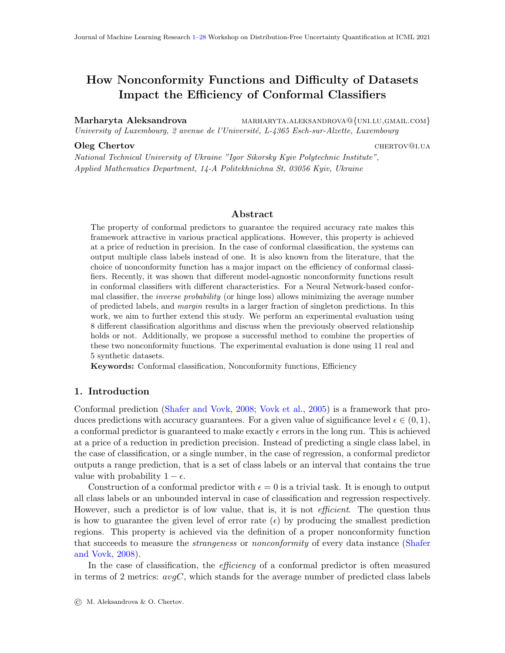<span id="page-17-1"></span><span id="page-17-0"></span>

<span id="page-17-4"></span><span id="page-17-3"></span><span id="page-17-2"></span>Figure 5:  $\sigma = 0.8$ : M - dashed line, IP - dash and dot line, IP M - thin solid line.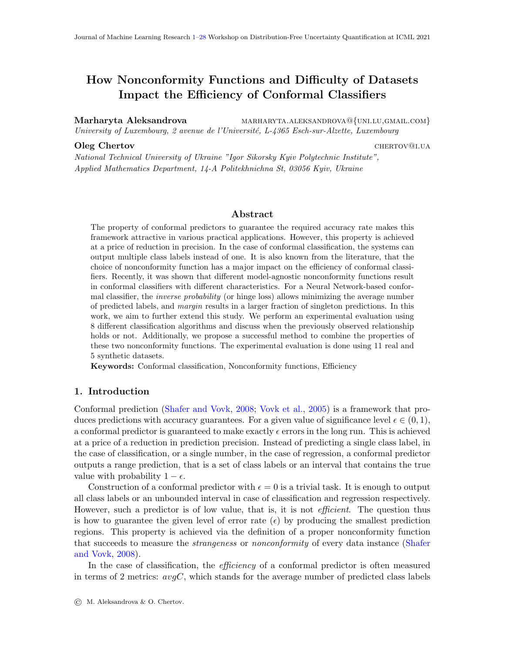|                                                                                                                              |                   |                                                             | $\epsilon=0.01$           |                             |                 | $\epsilon=0.05$                            |                                |                 | $\epsilon=0.1$            |                                   |                       | $\epsilon=0.15$   |                             |                 | $\epsilon=0.2$     |                             |
|------------------------------------------------------------------------------------------------------------------------------|-------------------|-------------------------------------------------------------|---------------------------|-----------------------------|-----------------|--------------------------------------------|--------------------------------|-----------------|---------------------------|-----------------------------------|-----------------------|-------------------|-----------------------------|-----------------|--------------------|-----------------------------|
|                                                                                                                              | ip                |                                                             | $\overline{\ast}$         | $\overline{\ast}$           |                 | $\overline{\ast}$                          | $\overline{\ast}$              |                 | $\overline{\ast}$         | $\overline{\ast}$                 |                       |                   | $\overline{\ast}$           |                 |                    |                             |
| $oneC$                                                                                                                       | ip_m              | $+^*$                                                       |                           | $\ast$                      | $+^*$           |                                            | $\ast$                         | $+^*$           |                           | $\ast$                            |                       |                   | $\ast$                      |                 |                    | $\ast$                      |
|                                                                                                                              | m                 | $+^*$                                                       | $+^{\ast}$                |                             | $+^*$           | $+^*$                                      |                                | $+^*$           | $+^*$                     |                                   | $+^{\ast}$            | $+^*$             |                             | $+^*$           | $+^*$              |                             |
| $\overline{\textbf{SVM}}$                                                                                                    |                   | ip                                                          | $ip_m$                    | m                           | ip              | ip_m<br>$\ast$                             | ${\bf m}$<br>$+^*$             | ip              | ip_m<br>$\overline{\ast}$ | ${\rm m}$<br>$+\ast$              | ip                    | ip_m              | m<br>$+\ast$                | ip              | ip_m               | ${\bf m}$<br>$+\ast$        |
| $avgC$                                                                                                                       | ip<br>ip_m        |                                                             |                           |                             | $+^{\ast}$      |                                            | $+^*$                          | $+^*$           |                           | $+^*$                             |                       |                   | $+^*$                       |                 |                    | $+^*$                       |
|                                                                                                                              | ${\bf m}$         |                                                             |                           |                             | $\ast$          | $\ast$                                     |                                | $\ast$          | $\ast$                    |                                   | $\ast$                | $\ast$            |                             | $\ast$          | $\ast$             |                             |
|                                                                                                                              |                   |                                                             | $\ast$                    | $\ast$                      |                 | $\ast$                                     | $\ast$                         |                 | $\overline{\ast}$         | $\ast$                            |                       |                   | $\ast$                      |                 |                    | $\ast$                      |
| $oneC$                                                                                                                       | ip<br>ip_m        | $+^*$                                                       |                           | $\ast$                      | $+^*$           |                                            | $\ast$                         | $+^*$           |                           | $\ast$                            |                       |                   | $\ast$                      |                 |                    | $\ast$                      |
|                                                                                                                              | m                 | $+^*$                                                       | $+^*$                     |                             | $+^*$           | $+^{\ast}$                                 |                                | $+^*$           | $+^*$                     |                                   | $+^*$                 | $+^*$             |                             | $+^*$           | $+^*$              |                             |
| $\overline{DT}$                                                                                                              |                   | ip                                                          | ip_m                      | ${\bf m}$                   | ip              | ip_m                                       | m                              | ip              | ip_m                      | ${\bf m}$                         | ip                    | ip_m              | ${\bf m}$                   | $\overline{ip}$ | ip_m               | ${\bf m}$                   |
|                                                                                                                              | ip                |                                                             |                           | $+^*$                       |                 | $\ast$                                     | $+^*$                          |                 |                           | $+^*$                             |                       |                   | $+^*$                       |                 |                    | $+^*$                       |
| $avgC$                                                                                                                       | ip_m              | $\ast$                                                      | $\ast$                    | $+^*$                       | $+^*$<br>$\ast$ | $\ast$                                     | $+^{\ast}$                     | $\ast$          | $\ast$                    | $+^{\ast}$                        | $\ast$                | $\ast$            | $+^*$                       | $\ast$          | $\ast$             | $+^*$                       |
|                                                                                                                              | ${\bf m}$         |                                                             |                           |                             |                 |                                            |                                |                 |                           |                                   |                       |                   |                             |                 |                    |                             |
|                                                                                                                              | ip                |                                                             |                           |                             |                 |                                            | $\overline{\ast}$              |                 | $\overline{\ast}$         | $\overline{\ast}$                 |                       |                   |                             |                 |                    |                             |
| oneC                                                                                                                         | ip_m              |                                                             |                           |                             |                 |                                            | $\ast$                         | $+^*$           |                           | $\ast$                            |                       |                   |                             |                 |                    | $\ast$                      |
| $\overline{\text{KNN}}$                                                                                                      | m                 |                                                             |                           |                             | $+^*$           | $+^*$                                      |                                | $+^*$           | $+^*$                     |                                   | $^{+}$                | $^{+}$            |                             | $+^*$           | $+^*$              |                             |
|                                                                                                                              | ip                | ip                                                          | ip_m                      | ${\bf m}$                   | ip              | ip_m                                       | ${\bf m}$<br>$\overline{\ast}$ | ip              | ip_m<br>₮                 | $\, {\rm m}$<br>$\overline{\ast}$ | ip                    | ip_m              | $\, {\rm m}$<br>$+^*$       | ip              | ip_m               | m<br>$\overline{\ast}$      |
| $avgC$                                                                                                                       | ip_m              |                                                             |                           |                             |                 |                                            | $\ast$                         | $+^*$           |                           | $\ast$                            |                       |                   | $+^*$                       |                 |                    | $\ast$                      |
|                                                                                                                              | ${\bf m}$         |                                                             |                           |                             | $+^*$           | $+^*$                                      |                                | $+^*$           | $+^*$                     |                                   | $\ast$                | $\ast$            |                             | $+^*$           | $+^*$              |                             |
|                                                                                                                              | ip                |                                                             | $\ast$                    | $\ast$                      |                 | $\overline{\ast}$                          | $\ast$                         |                 | $\overline{\ast}$         | $\ast$                            |                       | $\ast$            | $\overline{\ast}$           |                 | $\overline{\ast}$  | $\overline{\ast}$           |
| $oneC$                                                                                                                       | ip_m              | $+^*$                                                       |                           | $\ast$                      | $+^*$           |                                            | $\ast$                         | $+^*$           |                           | $\ast$                            | $+^*$                 |                   | $\ast$                      | $+^*$           |                    | $\ast$                      |
|                                                                                                                              | m                 | $+^*$                                                       | $+^*$                     |                             | $+^*$           | $+^*$                                      |                                | $+^*$           | $+^*$                     |                                   | $+^*$                 | $+^*$             |                             | $+^*$           | $+^*$              |                             |
| Ada                                                                                                                          |                   | ip                                                          | ip_m                      | ${\rm m}$                   | ip              | ip_m                                       | ${\rm m}$                      | ip              | ip_m                      | m                                 | ip                    | ip_m              | m                           | ip              | ip_m               | ${\bf m}$                   |
|                                                                                                                              | ip                |                                                             |                           | $+^*$                       |                 | $\overline{\ast}$                          | $\overline{\ast}$              |                 |                           | $\overline{\ast}$                 |                       | $\overline{\ast}$ | $\overline{\ast}$           |                 | $\overline{\ast}$  | $\overline{\ast}$           |
| $avgC$                                                                                                                       | ip_m              |                                                             |                           | $+^*$                       | $+^*$           |                                            |                                | $+^*$           |                           |                                   | $+^*$                 |                   | $+^*$                       | $+^*$           |                    | $+^*$                       |
|                                                                                                                              | ${\bf m}$         | $\ast$                                                      | $\ast$                    |                             | $+^*$           |                                            |                                | $+^*$           |                           |                                   |                       | $\ast$            |                             | $+^*$           | $\ast$             |                             |
|                                                                                                                              |                   |                                                             |                           |                             |                 |                                            |                                |                 |                           |                                   | $+^*$                 |                   |                             |                 |                    |                             |
|                                                                                                                              | ip                |                                                             | $\overline{\ast}$         | $\overline{\ast}$           |                 | $\overline{\ast}$                          | $\overline{\ast}$              |                 | $\overline{\ast}$         | $\overline{\ast}$                 |                       |                   | $\overline{\ast}$           |                 |                    | $\overline{\ast}$           |
|                                                                                                                              | ip_m              | $+^*$                                                       |                           | $\ast$                      | $+^*$           |                                            | $\ast$                         | $+^*$           |                           | $\ast$                            |                       |                   | $\ast$                      |                 |                    | $\ast$                      |
| oneC                                                                                                                         | m                 | $+^*$                                                       | $+^{\ast}$                |                             | $+^*$           | $+^*$                                      |                                | $+^*$           | $+^*$                     |                                   | $+^*$                 | $+^{\ast}$        |                             | $+^*$           | $+^*$              |                             |
| $\overline{\textbf{GNB}}$                                                                                                    |                   | ip                                                          | ip_m                      | ${\bf m}$                   | ip              | ip_m                                       | ${\bf m}$                      | $\overline{ip}$ | ip_m                      | $\, {\rm m}$                      | ip                    | ip_m              | $\, {\rm m}$                | ip              | ip_m               | ${\bf m}$                   |
|                                                                                                                              | ip                |                                                             | ₮                         | $+\ast$                     |                 | $\overline{\ast}$                          | $+\ast$                        |                 |                           | $+^*$                             |                       |                   | $+^*$                       |                 |                    | $+^*$                       |
| $avgC$                                                                                                                       | ip_m              | $+^*$<br>$\ast$                                             | $\ast$                    | $+^*$                       | $+^*$<br>$\ast$ | $\ast$                                     | $+^{\ast}$                     | $\ast$          | $\ast$                    | $+^{\ast}$                        | $\ast$                | $\ast$            | $+^*$                       | $\ast$          | $\ast$             | $+^*$                       |
|                                                                                                                              | ${\bf m}$         |                                                             |                           |                             |                 |                                            |                                |                 |                           |                                   |                       |                   |                             |                 |                    |                             |
|                                                                                                                              | ip                |                                                             | $\overline{\ast}$         | $\overline{\ast}$<br>$\ast$ |                 | $\overline{\ast}$                          | $\overline{\ast}$<br>$\ast$    |                 | $\overline{\ast}$         | $\overline{\ast}$<br>$\ast$       |                       |                   | $\overline{\ast}$<br>$\ast$ |                 |                    | $\overline{\ast}$<br>$\ast$ |
| oneC                                                                                                                         | ip_m              | $+^*$                                                       |                           |                             | $+^*$           |                                            |                                | $+^*$           |                           |                                   |                       |                   |                             |                 |                    |                             |
| $\overline{\text{MPR}}$                                                                                                      | m                 | $+^*$                                                       | $+^{\ast}$<br>ip_m        | ${\bf m}$                   | $+^*$           | $+^*$<br>ip_m                              | ${\rm m}$                      | $+^*$<br>ip     | $+^*$<br>ip_m             | ${\bf m}$                         | $+^*$                 | $+^*$             | ${\bf m}$                   | $+^*$<br>ip     | $+^{\ast}$<br>ip_m | ${\bf m}$                   |
|                                                                                                                              |                   | ip                                                          | ₮                         | $\overline{+^*}$            | ip              | $\overline{\ast}$                          | $+\ast$                        |                 | $\overline{\ast}$         | $+\ast$                           | ip                    | ip_m              | $+^*$                       |                 |                    | $+^*$                       |
|                                                                                                                              | ip<br>ip_m        | $+^*$                                                       |                           | $+^*$                       | $+^*$           |                                            | $+^*$                          | $+^*$           |                           | $+^{\ast}$                        |                       |                   | $+^*$                       |                 |                    | $+^*$                       |
| $avgC$                                                                                                                       | m                 | $\ast$                                                      | $\ast$                    |                             | $\ast$          | $\ast$                                     |                                | $\ast$          | $\ast$                    |                                   | $\ast$                | $\ast$            |                             | $\ast$          | $\ast$             |                             |
|                                                                                                                              |                   |                                                             | $\ast$                    | $\ast$                      |                 | $\ast$                                     | $\ast$                         |                 | $\ast$                    | $\ast$                            |                       | $\ast$            | $\ast$                      |                 | $\ast$             | $\ast$                      |
|                                                                                                                              | ip<br>ip_m        |                                                             |                           | $\ast$                      |                 |                                            | $\ast$                         | $+^*$           |                           | $\ast$                            |                       |                   | $\ast$                      |                 |                    | $\ast$                      |
|                                                                                                                              | m                 |                                                             | $+$ *                     |                             | $+{*\atop +}$   | $+$ *                                      |                                | $+^*$           | $+^*$                     |                                   | $+^*$                 | $+$ *             |                             | $+{}^{*}_{+}$   | $+^*$              |                             |
| $rac{C}{\text{RF}}$                                                                                                          |                   | $\begin{array}{c} +* \\ +* \\ \hline \text{ip} \end{array}$ | ip_m                      | ${\bf m}$                   | ip              | ip_m                                       | ${\bf m}$                      | ip              | ip_m                      | ${\bf m}$                         | $rac{+}{\mathrm{ip}}$ | ip_m              | ${\bf m}$                   | ip              | $ip_m$             | ${\bf m}$                   |
|                                                                                                                              | ip                |                                                             |                           | $+^*$                       |                 | $\overline{\ast}$                          | $+^*$                          |                 | $\ast$                    | $+^*$                             |                       | $\ast$            | $+^*$                       |                 | $\ast$             | $+^*$                       |
|                                                                                                                              | ip_m              | $\ast$                                                      |                           | $+^*$                       |                 |                                            | $+^{\ast}$                     | $+^*$<br>$\ast$ |                           | $+^{\ast}$                        | $+^*$<br>$\ast$       |                   | $+^*$                       | $+^*$<br>$\ast$ |                    | $+^*$                       |
| $\parallel avgC$                                                                                                             | ${\rm m}$         |                                                             | $\ast$                    |                             | $+^*$           | $\ast$                                     |                                |                 | $\ast$                    |                                   |                       | $\ast$            |                             |                 | $\ast$             |                             |
|                                                                                                                              | ip                |                                                             | $\overline{\ast}$         | $\overline{\ast}$           |                 | $\overline{\ast}$                          | $\overline{\ast}$              |                 | $\overline{\ast}$         | $\overline{\ast}$                 |                       |                   | $\overline{\ast}$           |                 |                    | $\overline{\ast}$           |
|                                                                                                                              | ip_m              |                                                             |                           | $\ast$                      |                 |                                            | $\ast$                         | $+^*$           |                           | $\ast$                            |                       |                   | $\ast$                      |                 |                    | $\ast$                      |
|                                                                                                                              | $\overline{m}$    | $\begin{array}{c} + \ast \\ + \ast \end{array}$             | $+^{\ast}$                |                             | $+$ *<br>$+$ *  | $+^*$                                      |                                | $+^*$           | $+$ *                     |                                   | $+^*$                 | $+$ *             |                             | $+^*$           | $+^*$              |                             |
| $\begin{array}{c}\n\hline\n\text{Q} & \text{Q} \\ \hline\n\text{Q} & \text{Q} \\ \text{Q} & \text{Q} \\ \hline\n\end{array}$ |                   | $\overline{ip}$                                             | ip_m<br>$\overline{\ast}$ | m                           | ip              |                                            | m                              | ip              | ip_m                      | ${\bf m}$                         | $\overline{ip}$       | ip_m              | ${\bf m}$                   | ip              | ip_m               | m                           |
|                                                                                                                              | ip                |                                                             |                           | $+\ast$                     |                 | $\frac{\overline{\text{ip\_m}}}{\text{*}}$ | $+\ast$                        |                 |                           | $+^*$                             |                       |                   | $+^*$                       |                 |                    | $+\ast$                     |
| avgC                                                                                                                         | ip_m<br>${\rm m}$ | $+^*$                                                       | $\ast$                    | $+^*$                       | $+^*$           | $\ast$                                     | $+^{\ast}$                     | $\ast$          | $\ast$                    | $+^{\ast}$                        | $\ast$                | $\ast$            | $+^*$                       | $\ast$          | $\ast$             | $+^*$                       |

<span id="page-18-0"></span>Table 7: Significance of results for  $\sigma = 0.8$ . An empty cell indicates similar performance, see Section [5.1.4.](#page-8-0) 19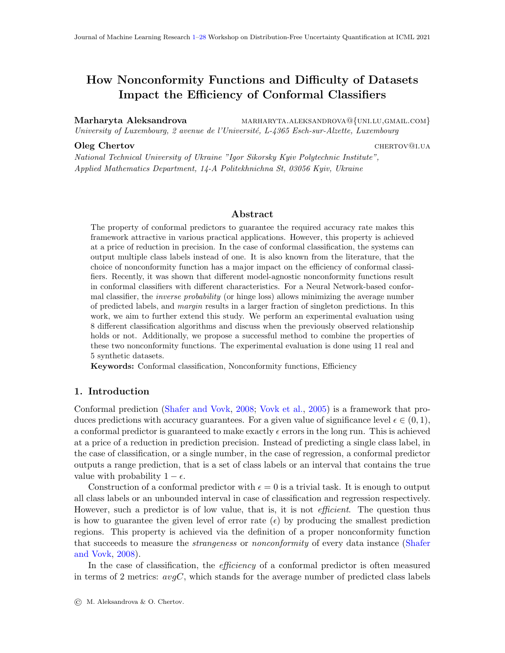<span id="page-19-3"></span><span id="page-19-1"></span><span id="page-19-0"></span>

<span id="page-19-4"></span><span id="page-19-2"></span>Figure 6:  $\sigma = 1.0$ : M - dashed line, IP - dash and dot line, IP M - thin solid line.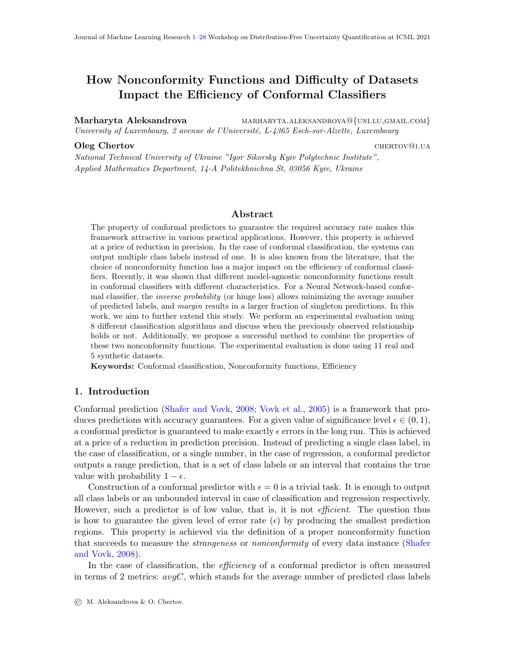|                                                                                                                              |                   |                                                     | $\epsilon=0.01$    |                             |                | $\epsilon=0.05$                            |                             |                 | $\epsilon=0.1$            |                                |                       | $\epsilon=0.15$    |                                |                 | $\epsilon=0.2$              |                    |
|------------------------------------------------------------------------------------------------------------------------------|-------------------|-----------------------------------------------------|--------------------|-----------------------------|----------------|--------------------------------------------|-----------------------------|-----------------|---------------------------|--------------------------------|-----------------------|--------------------|--------------------------------|-----------------|-----------------------------|--------------------|
|                                                                                                                              | ip                |                                                     | $\overline{\ast}$  | $\overline{\ast}$           |                | $\overline{\ast}$                          | $\overline{\ast}$           |                 | $\overline{\ast}$         | $\overline{\ast}$              |                       | $\overline{\ast}$  | $\overline{\ast}$              |                 |                             |                    |
| oneC                                                                                                                         | ip_m              | $+^*$                                               |                    | $\ast$                      | $+^*$          |                                            | $\ast$                      | $+^*$           |                           | $\ast$                         | $+^*$                 |                    | $\ast$                         |                 |                             | $\ast$             |
|                                                                                                                              | m                 | $+^*$                                               | $+^{\ast}$         |                             | $+^*$          | $+^*$                                      |                             | $+^*$           | $+^*$                     |                                | $+^*$                 | $+^{\ast}$         |                                | $+^*$           | $+^*$                       |                    |
| $\overline{\textbf{SVM}}$                                                                                                    |                   | ip                                                  | $ip_m$             | ${\bf m}$                   | ip             | ip_m                                       | m                           | ip              | ip_m<br>$\overline{\ast}$ | ${\bf m}$                      | ip                    | ip_m               | ${\bf m}$                      | ip              | ip_m                        | ${\bf m}$          |
| $avgC$                                                                                                                       | ip                |                                                     |                    | $\overline{\ast}$<br>$\ast$ |                |                                            | $+^*$                       |                 |                           | $+^*$                          |                       | ₮                  | $+^*$                          |                 |                             | $+\ast$            |
|                                                                                                                              | ip_m              |                                                     |                    |                             | $\ast$         | $\ast$                                     | $+^*$                       | $+^*$<br>$\ast$ | $\ast$                    | $+^*$                          | $+^*$<br>$\ast$       | $\ast$             | $+^*$                          | $\ast$          | $\ast$                      | $+^*$              |
|                                                                                                                              | ${\bf m}$         | $+^*$                                               | $+^*$              |                             |                |                                            |                             |                 |                           |                                |                       |                    |                                |                 |                             |                    |
|                                                                                                                              | ip                |                                                     | $\ast$             | $\ast$                      |                | $\ast$                                     | $\ast$                      |                 | $\ast$                    | $\ast$                         |                       | $\ast$             | $\ast$                         |                 | $\ast$                      | $\ast$             |
| $oneC$                                                                                                                       | ip_m              | $+^*$                                               |                    | $\ast$                      | $+^*$          |                                            | $\ast$                      | $+^*$           |                           | $\ast$                         | $+^*$                 |                    | $\ast$                         | $+^*$           |                             | $\ast$             |
|                                                                                                                              | m                 | $+^*$                                               | $+^*$              |                             | $+^*$          | $+^*$                                      |                             | $+^*$           | $+^*$                     |                                | $+^*$                 | $+^{\ast}$         |                                | $+^*$           | $+^*$                       |                    |
| $\overline{DT}$                                                                                                              |                   | ip                                                  | ip_m               | ${\bf m}$<br>$+^*$          | ip             | ip_m<br>$\ast$                             | m<br>$+$                    | ip              | ip_m<br>$\ast$            | ${\bf m}$<br>$+^*$             | $\overline{ip}$       | ip_m<br>$\ast$     | ${\bf m}$<br>$+^*$             | ip              | ip_m<br>$\ast$              | ${\bf m}$<br>$+^*$ |
| $avgC$                                                                                                                       | ip                |                                                     |                    | $+^*$                       | $+^*$          |                                            | $+^*$                       | $+^*$           |                           | $+^*$                          | $+^*$                 |                    | $+^*$                          | $+^*$           |                             | $+^*$              |
|                                                                                                                              | ip_m<br>${\bf m}$ | $\ast$                                              | $\ast$             |                             | $\ast$         | $\ast$                                     |                             | $\ast$          | $\ast$                    |                                | $\ast$                | $\ast$             |                                | $\ast$          | $\ast$                      |                    |
|                                                                                                                              |                   |                                                     |                    |                             |                |                                            |                             |                 |                           | $\overline{\ast}$              |                       | $\overline{\ast}$  | $\overline{\ast}$              |                 |                             |                    |
| oneC                                                                                                                         | ip                |                                                     |                    |                             |                | $\overline{\ast}$                          | $\overline{\ast}$<br>$\ast$ |                 |                           |                                |                       |                    |                                |                 |                             | $\ast$             |
|                                                                                                                              | ip_m              |                                                     |                    |                             | $+^*$          |                                            |                             | $+^*$           |                           |                                | $+^*$                 |                    |                                |                 |                             |                    |
| $\overline{\text{KNN}}$                                                                                                      | m                 |                                                     |                    |                             | $+^*$          | $+^{\ast}$                                 |                             | $+^*$           |                           |                                | $+^*$                 |                    |                                | $+^*$<br>ip     | $+^*$                       |                    |
|                                                                                                                              | ip                | ip                                                  | ip_m               | m                           | ip             | ip_m<br>$\overline{\ast}$                  | m<br>$\overline{\ast}$      | ip              | ip_m<br>₮                 | ${\bf m}$<br>$\overline{\ast}$ | ip                    | ip_m               | ${\bf m}$<br>$\overline{\ast}$ |                 | ip_m                        | m                  |
|                                                                                                                              | ip_m              |                                                     |                    |                             | $+^*$          |                                            | $\ast$                      | $+^*$           |                           | $\ast$                         |                       |                    | $\ast$                         |                 |                             | $\ast$             |
| $avgC$                                                                                                                       | ${\bf m}$         |                                                     |                    |                             | $+^*$          | $+^*$                                      |                             | $+^*$           | $+^*$                     |                                | $+^*$                 | $+^*$              |                                | $+^*$           | $+^*$                       |                    |
|                                                                                                                              |                   |                                                     | $\ast$             | $\ast$                      |                | $\overline{\ast}$                          | $\ast$                      |                 | $\overline{\ast}$         | $\ast$                         |                       | $\overline{\ast}$  | $\overline{\ast}$              |                 | $\overline{\ast}$           |                    |
| oneC                                                                                                                         | ip                | $+^*$                                               |                    | $\ast$                      | $+^*$          |                                            | $\ast$                      | $+^*$           |                           | $\ast$                         | $+^*$                 |                    | $\ast$                         | $+^*$           |                             |                    |
|                                                                                                                              | ip_m<br>m         | $+^*$                                               | $+^{\ast}$         |                             | $+^*$          | $+^{\ast}$                                 |                             | $+^*$           | $+^*$                     |                                | $+^*$                 | $+^*$              |                                | $+^*$           |                             |                    |
| Ada                                                                                                                          |                   | ip                                                  | ip_m               | ${\rm m}$                   | ip             | ip_m                                       | ${\bf m}$                   | ip              | ip_m                      | m                              | ip                    | ip_m               | m                              | ip              | ip_m                        | ${\bf m}$          |
|                                                                                                                              | ip                |                                                     |                    | $+^*$                       |                | $\overline{\ast}$                          | $+^*$                       |                 | ∗                         | $+$                            |                       | $\overline{\ast}$  |                                |                 | ∗                           |                    |
| $avgC$                                                                                                                       | ip_m              |                                                     |                    | $+^*$                       | $+^*$          |                                            | $+^*$                       | $+^*$           |                           | $+^*$                          | $+^*$                 |                    | $+^*$                          | $+^*$           |                             | $+^*$              |
|                                                                                                                              | ${\bf m}$         | $\ast$                                              | $\ast$             |                             | $\ast$         | $\ast$                                     |                             |                 | $\ast$                    |                                |                       | $\ast$             |                                |                 | $\ast$                      |                    |
|                                                                                                                              |                   |                                                     |                    |                             |                |                                            |                             |                 |                           |                                |                       |                    |                                |                 |                             |                    |
|                                                                                                                              |                   |                                                     | $\overline{\ast}$  | $\overline{\ast}$           |                | $\overline{\ast}$                          | $\overline{\ast}$           |                 | $\overline{\ast}$         | $\overline{\ast}$              |                       | $\overline{\ast}$  | $\overline{\ast}$              |                 | $\overline{\ast}$           | $\overline{\ast}$  |
|                                                                                                                              | ip                |                                                     |                    | $\ast$                      |                |                                            | $\ast$                      |                 |                           | $\ast$                         |                       |                    | $\ast$                         |                 |                             | $\ast$             |
| oneC                                                                                                                         | ip_m<br>m         | $+^*$                                               |                    |                             | $+^*$          |                                            |                             | $+^*$           |                           |                                | $+^*$                 |                    |                                | $+^*$           |                             |                    |
| $\overline{\textbf{GNB}}$                                                                                                    |                   | $+^*$<br>ip                                         | $+^{\ast}$<br>ip_m | ${\bf m}$                   | $+^*$<br>ip    | $+^{\ast}$<br>ip_m                         | ${\bf m}$                   | $+^*$<br>ip     | $+^{\ast}$<br>ip_m        | $\, {\rm m}$                   | $+^*$<br>ip           | $+^{\ast}$<br>ip_m | ${\bf m}$                      | $+^*$<br>ip     | $+^*$                       | ${\bf m}$          |
|                                                                                                                              |                   |                                                     |                    | $+^*$                       |                | $\overline{\ast}$                          | $+^*$                       |                 | $\ast$                    | $+^*$                          |                       | ¥                  | $+\ast$                        |                 | $ip_m$<br>$\overline{\ast}$ | $+^*$              |
|                                                                                                                              | ip<br>ip_m        |                                                     |                    | $+^*$                       | $+^*$          |                                            | $+^*$                       | $+^*$           |                           | $+^*$                          | $+^*$                 |                    | $+^*$                          | $+^*$           |                             | $+^{\ast}$         |
| $avgC$                                                                                                                       | ${\bf m}$         | $\ast$                                              | $\ast$             |                             | $\ast$         | $\ast$                                     |                             | $\ast$          | $\ast$                    |                                | $\ast$                | $\ast$             |                                | $\ast$          | $\ast$                      |                    |
|                                                                                                                              |                   |                                                     | $\ast$             | $\overline{\ast}$           |                | $\overline{\ast}$                          | $\overline{\ast}$           |                 | $\overline{\ast}$         | $\overline{\ast}$              |                       | $\overline{\ast}$  | $\overline{\ast}$              |                 | $\overline{\ast}$           | $\overline{\ast}$  |
|                                                                                                                              | ip                |                                                     |                    | $\ast$                      |                |                                            | $\ast$                      | $+^*$           |                           | $\ast$                         |                       |                    | $\ast$                         | $+^*$           |                             | $\ast$             |
| oneC                                                                                                                         | ip_m<br>m         | $+^*$                                               | $+^*$              |                             | $+^*$          |                                            |                             |                 |                           |                                | $+^*$<br>$+^*$        |                    |                                |                 |                             |                    |
| $\overline{\text{MPR}}$                                                                                                      |                   | $+^*$<br>ip                                         | ip_m               | ${\bf m}$                   | $+^*$<br>ip    | $+^*$<br>ip_m                              | ${\rm m}$                   | $+^*$<br>ip     | $+^{\ast}$<br>ip_m        | ${\bf m}$                      | ip                    | $+^{\ast}$<br>ip_m | ${\bf m}$                      | $+^*$<br>ip     | $+^*$<br>ip_m               | ${\rm m}$          |
|                                                                                                                              | ip                |                                                     | $\overline{\ast}$  | $+^*$                       |                | $\overline{\ast}$                          | $+^*$                       |                 | ∗                         | $+^*$                          |                       | $\overline{\ast}$  | $+\ast$                        |                 | $\overline{\ast}$           | $+^*$              |
|                                                                                                                              | ip_m              | $+^*$                                               |                    | $+^*$                       | $+^*$          |                                            | $+^{\ast}$                  | $+^*$           |                           | $+^{\ast}$                     | $+^*$                 |                    | $+^*$                          | $+^*$           |                             | $+^{\ast}$         |
| $avgC$                                                                                                                       | m                 | $\ast$                                              | $\ast$             |                             | $\ast$         | $\ast$                                     |                             | $\ast$          | $\ast$                    |                                | $\ast$                | $\ast$             |                                | $\ast$          | $\ast$                      |                    |
|                                                                                                                              |                   |                                                     | $\ast$             | $\ast$                      |                | $\ast$                                     | $\ast$                      |                 | $\ast$                    | $\ast$                         |                       | $\ast$             | $\ast$                         |                 | $\ast$                      | $\ast$             |
|                                                                                                                              | ip                |                                                     |                    | $\ast$                      |                |                                            | $\ast$                      |                 |                           | $\ast$                         |                       |                    | $\ast$                         |                 |                             | $\ast$             |
|                                                                                                                              | ip_m<br>m         | $+^*$                                               | $+$ *              |                             | $+{*\atop +}$  | $+$ *                                      |                             | $+^*$<br>$+^*$  | $+^*$                     |                                | $+^{\ast}$            | $+$ *              |                                | $+{}^{*}_{+}$   | $+$ *                       |                    |
| $rac{C}{\text{RF}}$                                                                                                          |                   | $rac{+}{\text{ip}}$                                 | ip_m               | ${\bf m}$                   | ip             | ip_m                                       | ${\bf m}$                   | ip              | ip_m                      | ${\bf m}$                      | $rac{+}{\mathrm{ip}}$ | ip_m               | ${\bf m}$                      | ip              | ip_m                        | ${\bf m}$          |
|                                                                                                                              | ip                |                                                     |                    | $+^*$                       |                | $\overline{\ast}$                          | $+^*$                       |                 | $\ast$                    | $+^*$                          |                       | $\ast$             | $+^*$                          |                 | $\ast$                      | $+^*$              |
|                                                                                                                              | ip_m              |                                                     |                    | $+^*$                       |                |                                            | $+^{\ast}$                  | $+^*$           |                           | $+^{\ast}$                     | $+^*$                 |                    | $+^*$                          | $+^*$           |                             | $+^{\ast}$         |
| $\parallel avgC$                                                                                                             | ${\rm m}$         | $\ast$                                              | $\ast$             |                             | $+^\ast_\ast$  | $\ast$                                     |                             | $\ast$          | $\ast$                    |                                | $\ast$                | $\ast$             |                                | $\ast$          | $\ast$                      |                    |
|                                                                                                                              | ip                |                                                     | $\overline{\ast}$  | $\overline{\ast}$           |                | $\overline{\ast}$                          | $\overline{\ast}$           |                 | $\overline{\ast}$         | $\overline{\ast}$              |                       | $\overline{\ast}$  | $\overline{\ast}$              |                 | $\overline{\ast}$           | $\overline{\ast}$  |
|                                                                                                                              | ip_m              |                                                     |                    | $\ast$                      |                |                                            | $\ast$                      | $+^*$           |                           | $\ast$                         |                       |                    | $\ast$                         | $+^*$           |                             | $\ast$             |
|                                                                                                                              | $\overline{m}$    | $\begin{array}{c} + * \\ + * \\ \hline \end{array}$ | $+^{\ast}$         |                             | $+$ *<br>$+$ * | $+^*$                                      |                             | $+^*$           | $+^*$                     |                                | $+$                   | $+^{\ast}$         |                                | $+^*$           | $+^*$                       |                    |
|                                                                                                                              |                   | $\overline{ip}$                                     | ip_m               | m                           | ip             |                                            | m                           | ip              | ip_m                      | ${\bf m}$                      | $\overline{ip}$       | ip_m               | ${\bf m}$                      | ip              | $ip_m$                      | m                  |
| $\begin{array}{c}\n\hline\n\text{Q} & \text{Q} \\ \hline\n\text{Q} & \text{Q} \\ \text{Q} & \text{Q} \\ \hline\n\end{array}$ | ip                |                                                     |                    | $+\ast$                     |                | $\frac{\overline{\text{ip\_m}}}{\text{*}}$ | $+^*$                       |                 | $\overline{\ast}$         | $+^*$                          |                       | $\overline{\ast}$  | $\overline{+^*}$               |                 | $\overline{\ast}$           | $\overline{+^*}$   |
| $ q_{0}$                                                                                                                     | ip_m<br>${\bf m}$ | $\ast$                                              | $\ast$             | $+^*$                       | $+^\ast_\ast$  | $\ast$                                     | $+^{\ast}$                  | $+^*$           | $\ast$                    | $+^{\ast}$                     | $+^*$<br>$\ast$       | $\ast$             | $+^{\ast}$                     | $+^*$<br>$\ast$ | $\ast$                      | $+^{\ast}$         |

<span id="page-20-0"></span>Table 8: Significance of results for  $\sigma = 1.0$ . An empty cell indicates similar performance, see Section [5.1.4.](#page-8-0) 21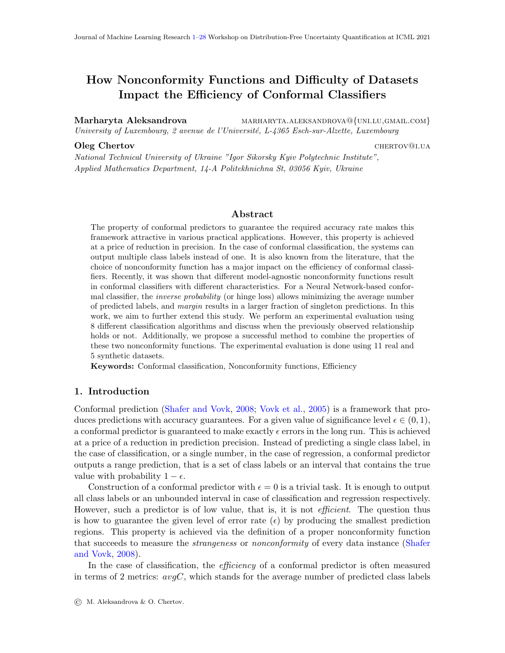# 5.2.1. DESCRIPTION

The general description of the 11 chosen real-world datasets is presented in section 1 of Table [9.](#page-22-0) As we can see, they vary significantly in their characteristics. The number of instances changes from 150 for iris dataset to 5000 for wave, the number of attributes changes from 4 to 21, and the number of classes from 3 to 10. Some datasets are perfectly balances, for example, iris dataset with exactly 50 instances per class, while others are highly unbalanced, for example, wineR and wineW.  $b_error$  range from the fifth row of section 1 in Table [9](#page-22-0) demonstrates the range of errors produced by all 8 classification algorithms in the baseline mode. We can notice that some datasets are easier to classify, for example, iris dataset for which the maximum error is 6%. At the same time, other datasets are more difficult, for example, wineW for which none of the classifiers can produce error less than 45%. The performance of classifiers is not uniformly distributed within the given ranges. This can be seen from the median of baseline error distribution, see row *b\_err median*. For example, for the cars dataset different classifiers result in errors ranging from 7% to 96%. However, the median value of 13 shows that half of them perform relatively well.

#### <span id="page-21-0"></span>5.2.2. Validity

In Table [10](#page-23-1) we demonstrate the empirical error rates averaged among all datasets. As we can see, all conformal predictors are well-calibrated, including the combination IP\_M. Similar to the synthetic datasets, the relatively lower values of empirical error rates for larger values of  $\epsilon$  are due to the disproportionally low values obtained for easy datasets like iris.

#### <span id="page-21-2"></span>5.2.3. Informativeness of oneC

Similarly to synthetic datasets, we analyze the informativeness of *oneC* metric in section 2 of Table [9.](#page-22-0) We can notice that the average value of  $E_{one}C$  is very different for different datasets ranging from 0.98 for iris to only 0.50 for wineW. This means that for wineW on average half of the produced singleton predictions do not contain the true label. In real applications, such a prediction can be more confusing than a prediction with multiple labels.

Again, there is a strong correlation between the mean value of  $E\_{one}C$  and the difficulty of the dataset for the baseline classifiers  $(b\_err)$ . The corresponding results are indicated in the third row *corr.* b acc. We can see that for 6 of 11 datasets (55%) the correlation is around 0.9 or above. This holds for iris, user, cars, wave, yeast and cool datasets. For 2 more datasets (balance and wineW), the correlation coefficient is approximately 0.8. For glass dataset, it is equal to 0.69, for heat to 0.57 and only for wineR the correlation is as low as 0.27. These results confirm a strong relationship between the baseline error of the underlying classification model and the correctness of singleton predictions as observed in Section [5.1.3.](#page-7-1) Similarly to synthetic datasets, mean-std is very low, confirming that  $E\_{one}C$ does not depend on the choice of nonconformity function.

#### <span id="page-21-1"></span>5.2.4. Efficiency of different nonconformity functions

Finally, in this section, we discuss the observed relationships between different nonconformity functions and the effectiveness of the resulting conformal predictors presented in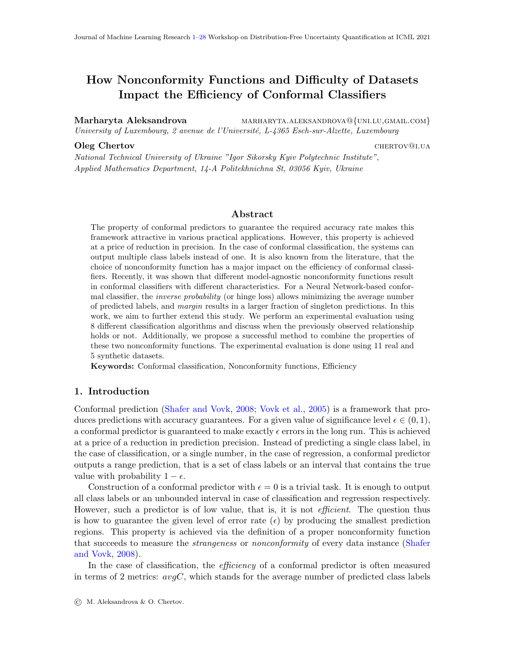| $_{\rm cool}$                                           | $\frac{8}{788}$<br>$\frac{8}{78}$<br>$\frac{8}{48}$                                                                                                                 |  |                                                                                               |                                                    |                                                                              |      |                | $\begin{array}{r} \n\boxed{63} \\ 0.58 \\ 0.0\n\end{array}$                   |                    | $\overline{\frac{60}{62.5}}$           |              | $\frac{62.5}{55}$                                            |                                  | $\begin{array}{ll} \textbf{KNN} \textcolor{black}{\leftarrow} \textbf{0.04},\\ \textbf{GNB} \end{array}$ | (0.15, 0.20)             | $\begin{aligned} & \text{DT}\ [0.01], \\ & \text{RF}\ [0.2], \end{aligned}$ |     | $\text{SVM}\ [0.2],$      | <b>SVM</b>                                                            | [0.01, 0.05],         | Ada $(\theta, 2)$ |                  | ≻                     |
|---------------------------------------------------------|---------------------------------------------------------------------------------------------------------------------------------------------------------------------|--|-----------------------------------------------------------------------------------------------|----------------------------------------------------|------------------------------------------------------------------------------|------|----------------|-------------------------------------------------------------------------------|--------------------|----------------------------------------|--------------|--------------------------------------------------------------|----------------------------------|----------------------------------------------------------------------------------------------------------|--------------------------|-----------------------------------------------------------------------------|-----|---------------------------|-----------------------------------------------------------------------|-----------------------|-------------------|------------------|-----------------------|
| heat                                                    | $\begin{array}{ c } \hline \text{SO} & \text{SO} \\\hline \text{SO} & \text{SO} \\\hline \text{SO} & \text{SO} \\\hline \text{SO} & \text{SO} \\\hline \end{array}$ |  |                                                                                               |                                                    |                                                                              |      |                | $\frac{25}{60}$<br>$\frac{5}{6}$                                              |                    | $70$<br>$65$<br>$62.5$<br>$72.5$       |              |                                                              | $KNN \nleftrightarrow$           | GNB [0.01],                                                                                              | $\rm{RF}$ $[0.2]$        |                                                                             |     |                           | $\begin{aligned} &\mathrm{DT}\ [0.01],\\ &\mathrm{Ada} \end{aligned}$ |                       | (0.15, 0.2)       | RF [0.05]        |                       |
| yeast                                                   |                                                                                                                                                                     |  |                                                                                               |                                                    | $\frac{1484}{80}$ $\frac{8}{14}$ $\frac{1484}{40}$                           |      |                | $\begin{array}{ c c }\n 56 \\  \hline\n 0.02 \\  \hline\n 0.97\n \end{array}$ |                    |                                        |              | $\frac{15}{77.5}$<br>$\frac{23}{85}$<br>$\frac{15}{77.5}$    | $\mathbf{K}\mathbf{N}\mathbf{N}$ | (0.01, 0.2)                                                                                              | $\mathrm{DT}\:[0.05],$   | Ada $[0.15, 0.2]$                                                           | QDA | $\left[0.15,\,0.2\right]$ |                                                                       |                       |                   |                  | $\blacktriangleright$ |
| $\ensuremath{\text{wine}}\xspace \ensuremath{\text{W}}$ | $\begin{array}{l} 4898 \\ 45.58 \\ 7 \times 5.58 \\ \end{array}$                                                                                                    |  |                                                                                               |                                                    |                                                                              |      |                | $\begin{vmatrix} 5 & 0 & 0 \\ 0 & 0 & 0 \\ 0 & 0 & 0 \end{vmatrix}$           |                    |                                        |              | $rac{1}{65}$<br>$rac{1}{10}$<br>$rac{1}{20}$<br>$rac{1}{20}$ |                                  | $\begin{array}{c} \textbf{KNN} \\ [0.05, \\ 0.1] \end{array}$                                            |                          |                                                                             |     |                           |                                                                       |                       |                   |                  | ≻                     |
| $\ensuremath{\text{wineR}}$                             |                                                                                                                                                                     |  |                                                                                               |                                                    | $\frac{1599}{1591}$<br>$\frac{6}{15}$ $\frac{8}{36}$ $\frac{50}{45}$         |      |                | $\begin{vmatrix} 5 & 3 & 3 \\ 0 & 0 & 3 \\ 0 & 0 & 0 \end{vmatrix}$           | 72.5               |                                        |              | $\frac{80}{82.5}$                                            |                                  |                                                                                                          | $KNN$<br>[0.05,<br>0.1], | DT [0.05]                                                                   |     |                           |                                                                       |                       |                   |                  | ≻                     |
| balance                                                 |                                                                                                                                                                     |  |                                                                                               |                                                    | $\frac{625}{9}$<br>$\frac{4}{9}$ $\approx$ $\frac{21}{9}$<br>$\frac{10}{10}$ |      |                | $\frac{96}{0.8}$                                                              |                    | $\frac{67.5}{42.5}$                    |              |                                                              |                                  | $\mathbf{KNN},\\ \mathrm{RF},\ \mathrm{DT},$                                                             | $\mbox{MPR},$            | $\begin{array}{l} \mathrm{GNP},\\ \mathrm{Ada},\\ \mathrm{QDA} \end{array}$ |     |                           |                                                                       |                       |                   |                  | $\blacktriangleright$ |
| wave                                                    | $\overline{5000}$                                                                                                                                                   |  |                                                                                               | $\frac{21}{x}$<br>$\frac{13}{x}$<br>$\frac{25}{x}$ |                                                                              |      |                | $\frac{1}{0.9}$<br>0.92                                                       |                    | $\frac{25}{27.5}$<br>$\frac{27.5}{30}$ |              |                                                              | $_{\rm Ada}$                     |                                                                                                          | (0.01, 0.06)             |                                                                             |     |                           | $_{\rm Ada}$                                                          | $\left[ 0.01\right]$  |                   | $\rm RF$         | $\blacktriangleright$ |
| $\operatorname{cars}$                                   |                                                                                                                                                                     |  |                                                                                               | $\frac{1728}{6}$<br>$\frac{4}{7}$ $\frac{5}{13}$   |                                                                              |      |                | $\begin{array}{c} 0.88 \\ 0.93 \end{array}$                                   |                    | $\frac{47.5}{37.5}$<br>45<br>45        |              |                                                              | KNN                              |                                                                                                          |                          |                                                                             |     |                           |                                                                       |                       |                   | $R$ F            | ≻                     |
| $_{\rm glass}$                                          |                                                                                                                                                                     |  |                                                                                               |                                                    | $\frac{14}{214}$<br>$\frac{6}{24}$<br>$\frac{24}{48}$                        |      |                | $\begin{array}{c} 63 \\ 63 \\ 0.69 \end{array}$                               | $\frac{2.29}{9.2}$ |                                        | $\mathbb{E}$ | 37.5                                                         | KNN,                             | Eq                                                                                                       |                          |                                                                             |     |                           |                                                                       |                       |                   | <b>MPR</b>       | $\blacktriangleright$ |
| user                                                    | $403\,$                                                                                                                                                             |  | mostly                                                                                        | $5 - 32$                                           |                                                                              | 0.93 |                | 0.98                                                                          | $\frac{15}{1}$     | 22.5                                   | ∣ഥ           | 17.5                                                         | KNN                              |                                                                                                          |                          |                                                                             |     |                           | Ada                                                                   | $\left[0.15\right]$   |                   |                  | ⋗                     |
| suri.                                                   | 150                                                                                                                                                                 |  |                                                                                               | $2-6$                                              |                                                                              | 0.98 | $\overline{0}$ | 0.92                                                                          | 5. Si              |                                        |              |                                                              |                                  |                                                                                                          |                          |                                                                             |     |                           |                                                                       |                       |                   |                  | ≻                     |
| Datasets                                                | $#$ instances                                                                                                                                                       |  | $\begin{array}{l} \# \mbox{ attributes} \\ \# \mbox{ classes} \\ \mbox{balanced} \end{array}$ | $b\_err$ range, $\%$                               | $b\_err$ med., $\%$                                                          | mean | mean-std       | $corr.$ $b_2$                                                                 | one $C, \%$        | $avgC, \%$                             | one $C, \%$  | $avgC,$ $\%$                                                 |                                  |                                                                                                          | $\cal M$ is the best     |                                                                             |     |                           |                                                                       | $\cal IP$ is the best |                   | IP_M is the best | $\wedge$<br>M         |
| Section                                                 |                                                                                                                                                                     |  | ojui                                                                                          |                                                    |                                                                              |      | $O^{300^-}H$   |                                                                               |                    | $s$ ə $\pi$                            |              | .tat.<br>patterns                                            |                                  |                                                                                                          |                          |                                                                             |     |                           |                                                                       |                       |                   |                  |                       |
|                                                         |                                                                                                                                                                     |  |                                                                                               |                                                    |                                                                              |      | $\mathcal{C}$  |                                                                               |                    | S                                      |              | 4                                                            |                                  |                                                                                                          |                          |                                                                             |     |                           |                                                                       |                       |                   |                  |                       |

Table 9: Real-world datasets: Characteristics of the datasets and summarization of results. Strikethrough text indicates those

Table 9: Real-world datasets: Characteristics of the datasets and summarization of results. Strikethrough text indicates those

<span id="page-22-0"></span>values of  $\epsilon$ , for which we do not observe a particular pattern.

values of  $\epsilon$ , for which we do not observe a particular pattern.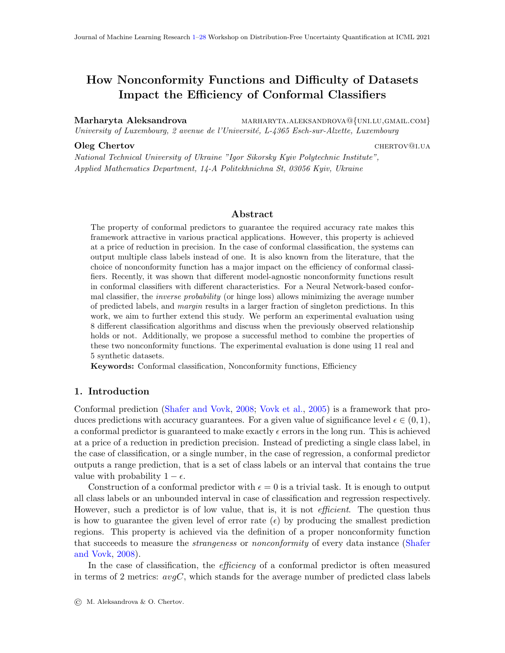| $\epsilon$                                                            |  | $\begin{array}{cccccc} 0.01 & 0.05 & 0.10 & 0.15 & 0.20 \end{array}$ |  |
|-----------------------------------------------------------------------|--|----------------------------------------------------------------------|--|
| $IP$ $\begin{array}{ l} 0.01 & 0.04 & 0.09 & 0.14 & 0.18 \end{array}$ |  |                                                                      |  |
| $IP_{-}M$ 0.01 0.05 0.09 0.14 0.18                                    |  |                                                                      |  |
| $M$ $\begin{array}{ l} 0.01 & 0.05 & 0.09 & 0.14 & 0.18 \end{array}$  |  |                                                                      |  |

<span id="page-23-1"></span>Table 10: Real-world datasets: Empirical error rates

section 4 of Table [9.](#page-22-0) First, we never observe the inverse pattern that was present for the synthetic dataset with  $\sigma = 0.2$  for GNB, RF and QDA with  $\epsilon = 0.2$ . This proves that the inverse pattern indeed is rather an exception than a rule, as was discussed in Section [5.1.4.](#page-8-0) As before, for many settings *margin* is the best choice of nonconformity function. Interestingly, it is the case for almost all real-world datasets when KNN is used as a baseline classifier. Additionally, in the case of balance dataset, almost all conformal classifiers, except the one based on SVM, perform the best when *margin* is used. We observe that *inverse probability* nonconformity function can be the best choice more often than for synthetic datasets. It is observed for 4 real-world datasets: user, wave, heat, and cool. Finally, for some settings, the combination of *inverse probability* and *margin* provides better values of both *oneC* and avgC. This holds for user dataset with MPR and for cars, wave, and heat datasets with RF. Such a pattern was never observed for synthetic datasets.

#### <span id="page-23-0"></span>5.3. Summary of results

In this subsection, we summarize the findings from our experimental results shown in Tables [2](#page-6-0) and [9.](#page-22-0)

For one unrealistically easy synthetic dataset with  $\sigma = 0.2$ , we observed the inverse **pattern**, that is *inverse probability* resulting in higher values of *oneC* and *margin* resulting in lower values of  $avgC$  at the same time. This is the case for GNB, RF and QDA classifiers with  $\epsilon = 0.2$ . For this setting, none of the nonconformity functions results in empirical error rates close to the defined value of  $\epsilon$ , see Table [3.](#page-7-0) This can be a possible explanation of the observed deviation.

As we saw, *margin* can be the best choice of nonconformity function for some datasets (balance dataset) or some algorithms. An interesting fact is that for almost all datasets KNN-based conformal predictor works best with margin in terms of both oneC and  $avgC$ . This pattern was not observed only for iris, wave and the synthetic dataset with  $\sigma = 0.1$ . In these cases, all nonconformity functions result in the same values of *oneC* and  $avgC$  when KNN is used. This observation suggests that some classification algorithms and datasets might prefer particular nonconformity functions.

Inverse probability is rarely the best nonconformity function. We observed that *margin* can results in the best conformal classifiers in terms of both efficiency metrics. However, it almost never happens with *inverse probability* function. In our experiments, this was observed for a small number of cases.

 $IP_{-}M$  improves IP. In none of our experiments, we observed IP M being outperformed by IP. IP M improves one C and  $avgC$  as compared to IP or produces the same values of these metrics. This is expected, as  $IP_{\mathcal{M}}$  is basically IP measure with some non-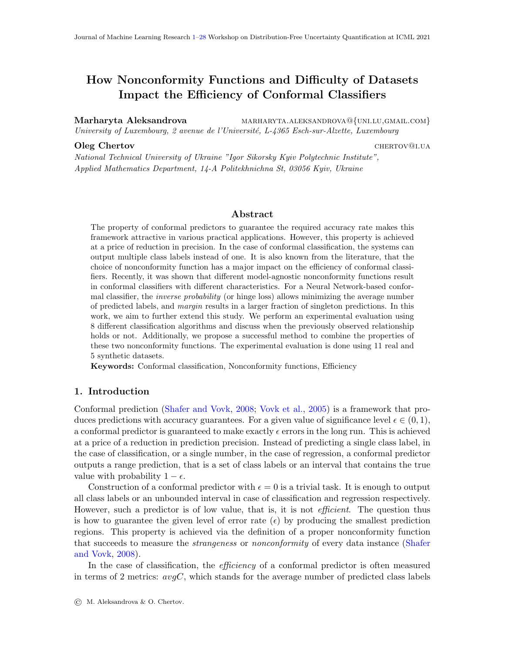singleton predictions replaced with singletons. This replacement naturally increases  $oneC$ and decreases  $avgC$ . The fact that IP M also results in valid predictions respecting the imposed value of maximum error rate  $\epsilon$ , as was demonstrated in Tables [3](#page-7-0) and [10,](#page-23-1) proves the utility of this approach. Additionally, in some cases, IP M produces better results than both margin and inverse probability in terms of both efficiency metrics. This was observed for glass dataset with MPR, and for cars, wave, and heat datasets with RF.

The baseline pattern holds for the majority of the cases. In our experimental results, we discussed only the cases which deviate from the baseline pattern. As we saw, such cases do exist. However, in most of the cases when the difference between nonconformity functions is observed, *margin* results in better values of *oneC* and *inverse probability* results in better values of  $avgC$ . This supports the main finding of the original paper by [Johansson](#page-26-2) [et al.](#page-26-2) [\(2017\)](#page-26-2).

oneC is not always useful. As was demonstrated in Section [5.2.3,](#page-21-2) the metric oneC can be misleading. For some of the datasets, only half of the singleton predictions contain the true label. In such cases, the minimization of  $avgC$  is preferred over the maximization of oneC. We also showed that the fraction of correct singleton predictions strongly correlates with the performance of the chosen classifier in the baseline scenario. It means that by analyzing this performance, we can estimate how accurate the singleton predictors will be and we can decide which efficiency metric should be considered more important. Also, it was shown that the choice of nonconformity function has little impact on the fraction of correct singleton predictions  $E\_{one}$ .

The baseline performance of the chosen classifier impacts the efficiency of the conformal predictor. In our experiments, we observed that if the performance of the baseline classifier is good, then the choice of nonconformity function tends to have no impact on the efficiency of the resulting conformal classifier. This is the case for iris and wave datasets, and the synthetic dataset with  $\sigma = 0.2$ . The baseline performance of the underlying classification model also has a direct impact on the efficiency of the resulting conformal classifier. Soon after the value of  $\epsilon$  reaches the value of  $b\_err$ , metric one C reaches its maximum and starts decreasing. At the same time, the value of  $avgC$  reaches 1 and further decreases, see the results for the synthetic dataset with  $\sigma = 0.4$  presented in Fig. [3.](#page-12-2) The same tendency was observed for many real-world datasets. This observation makes sense. When  $\epsilon > b_{\text{eff}}$ , the conformal classifier is allowed to make more mistakes than it does in the baseline scenario. This can be only achieved by generating empty predictions. For such values of  $\epsilon$ , more and more predictions will be singletons or empty what results in the decrease of oneC and  $avgC$  being below 1. Additionally, as it was observed for the synthetic datasets with increasing difficulties, the difference between different nonconformity functions becomes more prominent when the baseline classifiers are less accurate or the datasets are more 'difficult'. This is demonstrated by the increasing values in section 3 of Table [2.](#page-6-0) Also, we usually observe more deviations from the baseline pattern with the increase in  $b_error$  of the underlying classification model, see section 4 of Tables [2](#page-6-0) and [9.](#page-22-0)

# <span id="page-24-0"></span>6. Conclusions and Future Work

The objective of this paper is to further extend the recent results presented by [Johansson](#page-26-2) [et al.](#page-26-2) [\(2017\)](#page-26-2) stating that there is a relationship between different model-agnostic noncon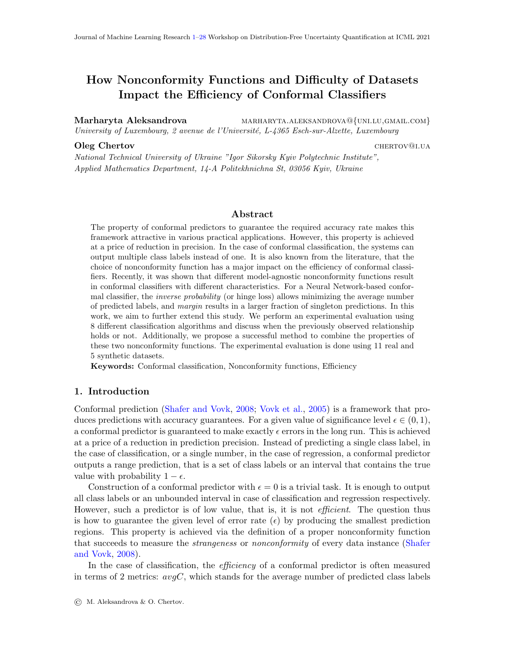formity functions and the values of *oneC* and  $avgC$ . Through an empirical evaluation with ANN-based conformal predictors, the authors showed that the usage of *margin* nonconformity function results in higher values of *oneC* and *inverse probability* nonconformity function allows to achieve lower values of  $avgC$ . Next, it is up to the user to decide which metric should be preferred and to choose an appropriate nonconformity function. We aim to check if the same pattern would be observed for other classification algorithms. Through experimental evaluation with both real-world datasets and synthetic datasets with increasing level of difficulty, we showed that the previously observed pattern is supported in most of the cases, however, some classifiers and/or datasets clearly 'prefer' margin. This was observed for the KNN classifier and balance dataset. At the same time, inverse probability is the best choice of nonconformity function only in a small number of cases. For one synthetic dataset, we also observed the inverse relationship. However, it can be considered an exception rather than a rule, see discussion in Section [5.1.4.](#page-8-0)

We also proposed a method to combine *margin* and *inverse probability* into a model that we denote by  $IP_{\mathcal{M}}$ . We showed that  $IP_{\mathcal{M}}$  can be considered as an improved version of conformal predictor based on  $IP$  making this approach preferable for minimization of  $avgC$ in most of the cases. Additionally, it was shown that  $IP_{\mathcal{M}}$  can be the best model in terms of both oneC and  $avgC$  in some cases: MPR-based conformal predictors for glass dataset, and RF-based conformal predictors for cars, wave and heat. The validity of this approach was confirmed experimentally.

Finally, we studied how the effectiveness of the baseline classification algorithm on the given dataset can impact the efficiency of the related conformal predictor. In particular, we showed that a fraction of singleton predictions that contain the true label correlates strongly with the baseline accuracy. This observation suggests that *oneC* metric can be misleading in the case of a poorly performing baseline classifier. Our experiments also demonstrate that usually classification algorithms with higher values of baseline accuracy result in more efficient conformal predictors.

Some directions for future work are the following. It can be interesting to confirm that KNN-based conformal predictors work better with margin nonconformity function in the case of other datasets. Further, we would like to study which characteristics of baseline classifiers and datasets make them work better with a particular nonconformity function. For example, for balance dataset SVM-based conformal predictor is the only one that does not 'prefer' *margin* and follows the originally observed pattern. Next, we would like to investigate if the proposed method for combining margin and inverse probability can be improved using the latest results in assembling conformal predictors such as in [\(Toccaceli,](#page-26-13) [2019\)](#page-26-13).

# Acknowledgments

This work was partially supported by the European Union Horizon 2020 research programme within the project CITIES2030 "Co-creating resilient and sustainable food towards FOOD2030", grant 101000640.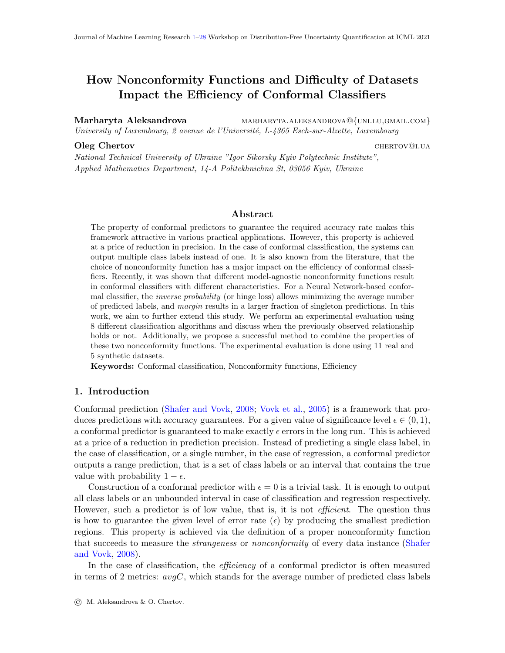# References

- <span id="page-26-6"></span>Vineeth Nallure Balasubramanian, R Gouripeddi, Sethuraman Panchanathan, J Vermillion, A Bhaskaran, and RM Siegel. Support vector machine based conformal predictors for risk of complications following a coronary drug eluting stent procedure. In 2009 36th Annual Computers in Cardiology Conference (CinC), pages 5–8. IEEE, 2009.
- <span id="page-26-11"></span>Giovanni Cherubin. Majority vote ensembles of conformal predictors. Machine Learning, 108(3):475–488, 2019.
- <span id="page-26-14"></span>Dheeru Dua and Casey Graff. UCI machine learning repository, 2017. URL [http://](http://archive.ics.uci.edu/ml) [archive.ics.uci.edu/ml](http://archive.ics.uci.edu/ml).
- <span id="page-26-10"></span>Niharika Gauraha and Ola Spjuth. Synergy conformal prediction. 2018.
- <span id="page-26-2"></span>Ulf Johansson, Henrik Linusson, Tuve Löfström, and Henrik Boström. Model-agnostic nonconformity functions for conformal classification. In 2017 International Joint Conference on Neural Networks (IJCNN), pages 2072–2079. IEEE, 2017.
- <span id="page-26-3"></span>Henrik Linusson. Nonconformity Measures and Ensemble Strategies: An Analysis of Conformal Predictor Efficiency and Validity. PhD thesis, Department of Computer and Systems Sciences, Stockholm University, 2021.
- <span id="page-26-12"></span>Henrik Linusson, Ulf Johansson, and Henrik Boström. Efficient conformal predictor ensembles. Neurocomputing, 397:266–278, 2020.
- <span id="page-26-5"></span>Harris Papadopoulos. Inductive conformal prediction: Theory and application to neural networks. In Tools in artificial intelligence. Citeseer, 2008.
- <span id="page-26-7"></span>Kostas Proedrou, Ilia Nouretdinov, Volodya Vovk, and Alex Gammerman. Transductive confidence machines for pattern recognition. In European Conference on Machine Learning, pages 381–390. Springer, 2002.
- <span id="page-26-0"></span>Glenn Shafer and Vladimir Vovk. A tutorial on conformal prediction. Journal of Machine Learning Research, 9(3), 2008.
- <span id="page-26-13"></span>Paolo Toccaceli. Conformal predictor combination using neyman–pearson lemma. In Conformal and Probabilistic Prediction and Applications, pages 66–88. PMLR, 2019.
- <span id="page-26-9"></span>Paolo Toccaceli and Alexander Gammerman. Combination of conformal predictors for classification. In Conformal and Probabilistic Prediction and Applications, pages 39–61. PMLR, 2017.
- <span id="page-26-8"></span>Paolo Toccaceli and Alexander Gammerman. Combination of inductive mondrian conformal predictors. Machine Learning, 108(3):489–510, 2019.
- <span id="page-26-4"></span>Vladimir Vovk. Transductive conformal predictors. In IFIP International Conference on Artificial Intelligence Applications and Innovations, pages 348–360. Springer, 2013.
- <span id="page-26-1"></span>Vladimir Vovk, Alex Gammerman, and Glenn Shafer. Algorithmic learning in a random world. Springer Science & Business Media, 2005.